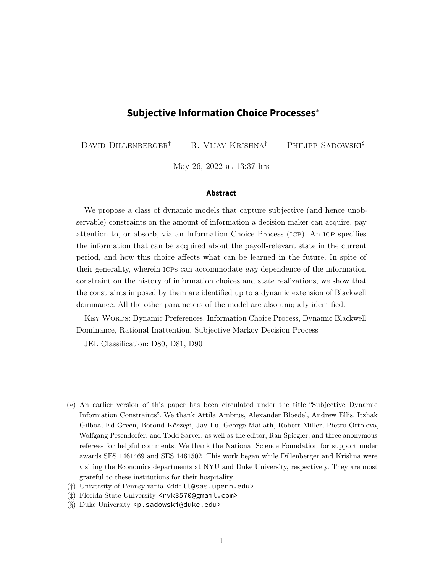## **Subjective Information Choice Processes**<sup>∗</sup>

DAVID DILLENBERGER<sup>†</sup> R. VIJAY KRISHNA<sup>‡</sup> PHILIPP SADOWSKI<sup>§</sup>

May 26, 2022 at 13:37 hrs

#### **Abstract**

We propose a class of dynamic models that capture subjective (and hence unobservable) constraints on the amount of information a decision maker can acquire, pay attention to, or absorb, via an Information Choice Process (icp). An icp specifies the information that can be acquired about the payoff-relevant state in the current period, and how this choice affects what can be learned in the future. In spite of their generality, wherein ICPs can accommodate *any* dependence of the information constraint on the history of information choices and state realizations, we show that the constraints imposed by them are identified up to a dynamic extension of Blackwell dominance. All the other parameters of the model are also uniquely identified.

Key Words: Dynamic Preferences, Information Choice Process, Dynamic Blackwell Dominance, Rational Inattention, Subjective Markov Decision Process

JEL Classification: D80, D81, D90

<sup>(</sup>∗) An earlier version of this paper has been circulated under the title "Subjective Dynamic Information Constraints". We thank Attila Ambrus, Alexander Bloedel, Andrew Ellis, Itzhak Gilboa, Ed Green, Botond Kőszegi, Jay Lu, George Mailath, Robert Miller, Pietro Ortoleva, Wolfgang Pesendorfer, and Todd Sarver, as well as the editor, Ran Spiegler, and three anonymous referees for helpful comments. We thank the National Science Foundation for support under awards SES 1461469 and SES 1461502. This work began while Dillenberger and Krishna were visiting the Economics departments at NYU and Duke University, respectively. They are most grateful to these institutions for their hospitality.

<sup>(</sup>†) University of Pennsylvania <ddill@sas.upenn.edu>

<sup>(</sup>‡) Florida State University <rvk3570@gmail.com>

<sup>(§)</sup> Duke University <p.sadowski@duke.edu>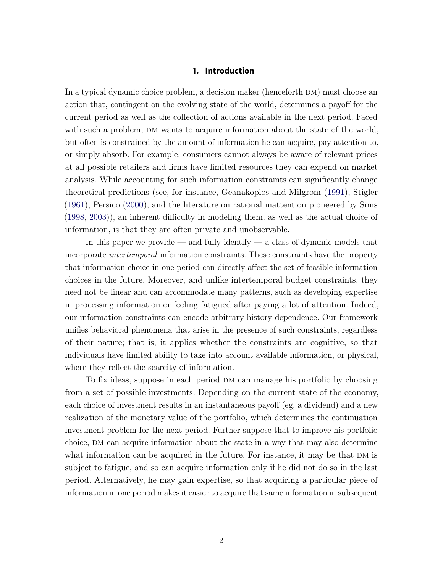## **1. Introduction**

<span id="page-1-1"></span><span id="page-1-0"></span>In a typical dynamic choice problem, a decision maker (henceforth DM) must choose an action that, contingent on the evolving state of the world, determines a payoff for the current period as well as the collection of actions available in the next period. Faced with such a problem, DM wants to acquire information about the state of the world, but often is constrained by the amount of information he can acquire, pay attention to, or simply absorb. For example, consumers cannot always be aware of relevant prices at all possible retailers and firms have limited resources they can expend on market analysis. While accounting for such information constraints can significantly change theoretical predictions (see, for instance, Geanakoplos and Milgrom [\(1991\)](#page-36-0), Stigler [\(1961\)](#page-37-0), Persico [\(2000\)](#page-37-1), and the literature on rational inattention pioneered by Sims [\(1998,](#page-37-2) [2003\)](#page-37-3)), an inherent difficulty in modeling them, as well as the actual choice of information, is that they are often private and unobservable.

In this paper we provide — and fully identify — a class of dynamic models that incorporate intertemporal information constraints. These constraints have the property that information choice in one period can directly affect the set of feasible information choices in the future. Moreover, and unlike intertemporal budget constraints, they need not be linear and can accommodate many patterns, such as developing expertise in processing information or feeling fatigued after paying a lot of attention. Indeed, our information constraints can encode arbitrary history dependence. Our framework unifies behavioral phenomena that arise in the presence of such constraints, regardless of their nature; that is, it applies whether the constraints are cognitive, so that individuals have limited ability to take into account available information, or physical, where they reflect the scarcity of information.

To fix ideas, suppose in each period dm can manage his portfolio by choosing from a set of possible investments. Depending on the current state of the economy, each choice of investment results in an instantaneous payoff (eg, a dividend) and a new realization of the monetary value of the portfolio, which determines the continuation investment problem for the next period. Further suppose that to improve his portfolio choice, dm can acquire information about the state in a way that may also determine what information can be acquired in the future. For instance, it may be that  $DM$  is subject to fatigue, and so can acquire information only if he did not do so in the last period. Alternatively, he may gain expertise, so that acquiring a particular piece of information in one period makes it easier to acquire that same information in subsequent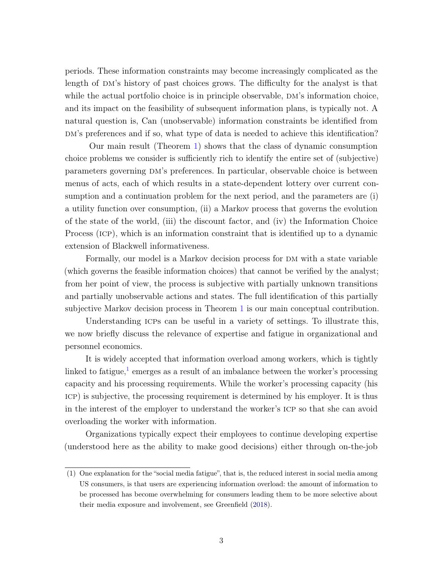<span id="page-2-1"></span>periods. These information constraints may become increasingly complicated as the length of DM's history of past choices grows. The difficulty for the analyst is that while the actual portfolio choice is in principle observable, DM's information choice, and its impact on the feasibility of subsequent information plans, is typically not. A natural question is, Can (unobservable) information constraints be identified from DM's preferences and if so, what type of data is needed to achieve this identification?

Our main result (Theorem [1\)](#page-11-0) shows that the class of dynamic consumption choice problems we consider is sufficiently rich to identify the entire set of (subjective) parameters governing dm's preferences. In particular, observable choice is between menus of acts, each of which results in a state-dependent lottery over current consumption and a continuation problem for the next period, and the parameters are (i) a utility function over consumption, (ii) a Markov process that governs the evolution of the state of the world, (iii) the discount factor, and (iv) the Information Choice Process (icp), which is an information constraint that is identified up to a dynamic extension of Blackwell informativeness.

Formally, our model is a Markov decision process for DM with a state variable (which governs the feasible information choices) that cannot be verified by the analyst; from her point of view, the process is subjective with partially unknown transitions and partially unobservable actions and states. The full identification of this partially subjective Markov decision process in Theorem [1](#page-11-0) is our main conceptual contribution.

Understanding ICPs can be useful in a variety of settings. To illustrate this, we now briefly discuss the relevance of expertise and fatigue in organizational and personnel economics.

It is widely accepted that information overload among workers, which is tightly linked to fatigue,<sup>[1](#page-2-0)</sup> emerges as a result of an imbalance between the worker's processing capacity and his processing requirements. While the worker's processing capacity (his icp) is subjective, the processing requirement is determined by his employer. It is thus in the interest of the employer to understand the worker's icp so that she can avoid overloading the worker with information.

Organizations typically expect their employees to continue developing expertise (understood here as the ability to make good decisions) either through on-the-job

<span id="page-2-0"></span><sup>(1)</sup> One explanation for the "social media fatigue", that is, the reduced interest in social media among US consumers, is that users are experiencing information overload: the amount of information to be processed has become overwhelming for consumers leading them to be more selective about their media exposure and involvement, see Greenfield [\(2018\)](#page-36-1).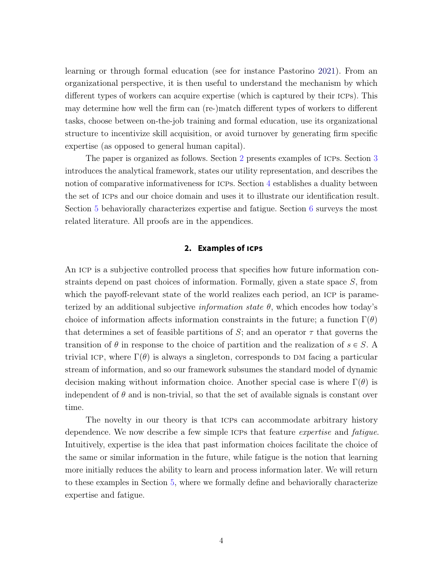<span id="page-3-1"></span>learning or through formal education (see for instance Pastorino [2021\)](#page-37-4). From an organizational perspective, it is then useful to understand the mechanism by which different types of workers can acquire expertise (which is captured by their icps). This may determine how well the firm can (re-)match different types of workers to different tasks, choose between on-the-job training and formal education, use its organizational structure to incentivize skill acquisition, or avoid turnover by generating firm specific expertise (as opposed to general human capital).

The paper is organized as follows. Section [2](#page-3-0) presents examples of ICPs. Section [3](#page-6-0) introduces the analytical framework, states our utility representation, and describes the notion of comparative informativeness for ICPs. Section [4](#page-11-1) establishes a duality between the set of icps and our choice domain and uses it to illustrate our identification result. Section [5](#page-17-0) behaviorally characterizes expertise and fatigue. Section [6](#page-22-0) surveys the most related literature. All proofs are in the appendices.

## **2. Examples of ICPs**

<span id="page-3-0"></span>An ICP is a subjective controlled process that specifies how future information constraints depend on past choices of information. Formally, given a state space S, from which the payoff-relevant state of the world realizes each period, an ICP is parameterized by an additional subjective *information state*  $\theta$ , which encodes how today's choice of information affects information constraints in the future; a function  $\Gamma(\theta)$ that determines a set of feasible partitions of S; and an operator  $\tau$  that governs the transition of  $\theta$  in response to the choice of partition and the realization of  $s \in S$ . trivial ICP, where  $\Gamma(\theta)$  is always a singleton, corresponds to DM facing a particular stream of information, and so our framework subsumes the standard model of dynamic decision making without information choice. Another special case is where  $\Gamma(\theta)$  is independent of  $\theta$  and is non-trivial, so that the set of available signals is constant over time.

The novelty in our theory is that icps can accommodate arbitrary history dependence. We now describe a few simple ICPs that feature *expertise* and *fatigue*. Intuitively, expertise is the idea that past information choices facilitate the choice of the same or similar information in the future, while fatigue is the notion that learning more initially reduces the ability to learn and process information later. We will return to these examples in Section [5,](#page-17-0) where we formally define and behaviorally characterize expertise and fatigue.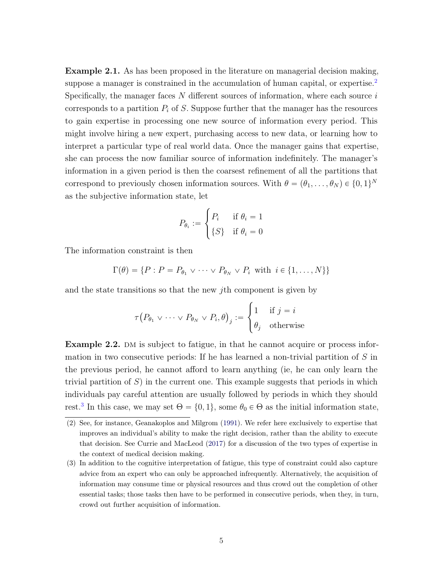<span id="page-4-4"></span><span id="page-4-3"></span>Example 2.1. As has been proposed in the literature on managerial decision making, suppose a manager is constrained in the accumulation of human capital, or expertise.<sup>[2](#page-4-0)</sup> Specifically, the manager faces  $N$  different sources of information, where each source  $i$ corresponds to a partition  $P_i$  of S. Suppose further that the manager has the resources to gain expertise in processing one new source of information every period. This might involve hiring a new expert, purchasing access to new data, or learning how to interpret a particular type of real world data. Once the manager gains that expertise, she can process the now familiar source of information indefinitely. The manager's information in a given period is then the coarsest refinement of all the partitions that correspond to previously chosen information sources. With  $\theta = (\theta_1, \dots, \theta_N) \in \{0, 1\}^N$ as the subjective information state, let

$$
P_{\theta_i} := \begin{cases} P_i & \text{if } \theta_i = 1 \\ \{S\} & \text{if } \theta_i = 0 \end{cases}
$$

The information constraint is then

$$
\Gamma(\theta) = \{ P : P = P_{\theta_1} \vee \cdots \vee P_{\theta_N} \vee P_i \text{ with } i \in \{1, \ldots, N\} \}
$$

and the state transitions so that the new jth component is given by  $\ddot{\phantom{0}}$ 

$$
\tau(P_{\theta_1} \vee \cdots \vee P_{\theta_N} \vee P_i, \theta)_j := \begin{cases} 1 & \text{if } j = i \\ \theta_j & \text{otherwise} \end{cases}
$$

<span id="page-4-2"></span>**Example 2.2.** DM is subject to fatigue, in that he cannot acquire or process information in two consecutive periods: If he has learned a non-trivial partition of  $S$  in the previous period, he cannot afford to learn anything (ie, he can only learn the trivial partition of  $S$ ) in the current one. This example suggests that periods in which individuals pay careful attention are usually followed by periods in which they should rest.<sup>[3](#page-4-1)</sup> In this case, we may set  $\Theta = \{0, 1\}$ , some  $\theta_0 \in \Theta$  as the initial information state,

<span id="page-4-0"></span><sup>(2)</sup> See, for instance, Geanakoplos and Milgrom [\(1991\)](#page-36-0). We refer here exclusively to expertise that improves an individual's ability to make the right decision, rather than the ability to execute that decision. See Currie and MacLeod [\(2017\)](#page-35-0) for a discussion of the two types of expertise in the context of medical decision making.

<span id="page-4-1"></span><sup>(3)</sup> In addition to the cognitive interpretation of fatigue, this type of constraint could also capture advice from an expert who can only be approached infrequently. Alternatively, the acquisition of information may consume time or physical resources and thus crowd out the completion of other essential tasks; those tasks then have to be performed in consecutive periods, when they, in turn, crowd out further acquisition of information.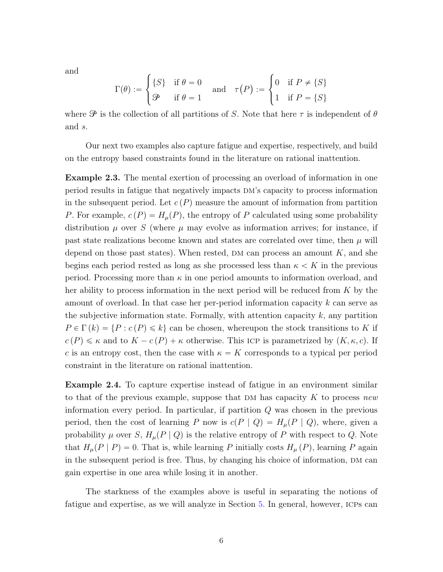and

$$
\Gamma(\theta) := \begin{cases} \{S\} & \text{if } \theta = 0 \\ \mathcal{P} & \text{if } \theta = 1 \end{cases} \quad \text{and} \quad \tau(P) := \begin{cases} 0 & \text{if } P \neq \{S\} \\ 1 & \text{if } P = \{S\} \end{cases}
$$

where  $\mathcal P$  is the collection of all partitions of S. Note that here  $\tau$  is independent of  $\theta$ and s.

Our next two examples also capture fatigue and expertise, respectively, and build on the entropy based constraints found in the literature on rational inattention.

<span id="page-5-0"></span>Example 2.3. The mental exertion of processing an overload of information in one period results in fatigue that negatively impacts dm's capacity to process information in the subsequent period. Let  $c(P)$  measure the amount of information from partition P. For example,  $c(P) = H<sub>\mu</sub>(P)$ , the entropy of P calculated using some probability distribution  $\mu$  over S (where  $\mu$  may evolve as information arrives; for instance, if past state realizations become known and states are correlated over time, then  $\mu$  will depend on those past states). When rested, DM can process an amount  $K$ , and she begins each period rested as long as she processed less than  $\kappa < K$  in the previous period. Processing more than  $\kappa$  in one period amounts to information overload, and her ability to process information in the next period will be reduced from K by the amount of overload. In that case her per-period information capacity k can serve as the subjective information state. Formally, with attention capacity  $k$ , any partition  $P \in \Gamma (k) = \{P : c (P) \leq k\}$  can be chosen, whereupon the stock transitions to K if  $c(P) \leq \kappa$  and to  $K - c(P) + \kappa$  otherwise. This ICP is parametrized by  $(K, \kappa, c)$ . If c is an entropy cost, then the case with  $\kappa = K$  corresponds to a typical per period constraint in the literature on rational inattention.

<span id="page-5-1"></span>Example 2.4. To capture expertise instead of fatigue in an environment similar to that of the previous example, suppose that DM has capacity K to process new information every period. In particular, if partition Q was chosen in the previous period, then the cost of learning P now is  $c(P | Q) = H<sub>\mu</sub>(P | Q)$ , where, given a probability  $\mu$  over S,  $H_{\mu}(P | Q)$  is the relative entropy of P with respect to Q. Note that  $H_{\mu}(P | P) = 0$ . That is, while learning P initially costs  $H_{\mu}(P)$ , learning P again in the subsequent period is free. Thus, by changing his choice of information, DM can gain expertise in one area while losing it in another.

The starkness of the examples above is useful in separating the notions of fatigue and expertise, as we will analyze in Section [5.](#page-17-0) In general, however, icps can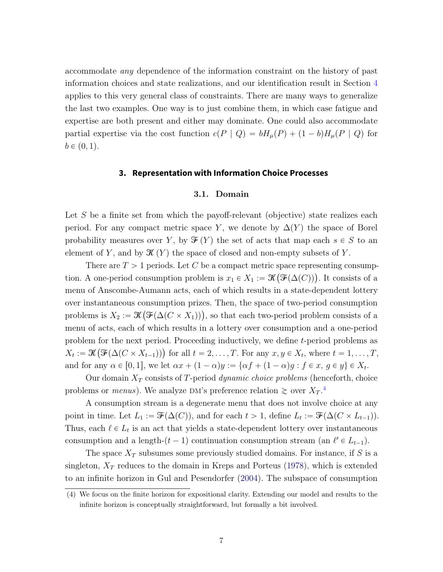<span id="page-6-2"></span>accommodate any dependence of the information constraint on the history of past information choices and state realizations, and our identification result in Section [4](#page-11-1) applies to this very general class of constraints. There are many ways to generalize the last two examples. One way is to just combine them, in which case fatigue and expertise are both present and either may dominate. One could also accommodate partial expertise via the cost function  $c(P | Q) = bH_{\mu}(P) + (1 - b)H_{\mu}(P | Q)$  for  $b \in (0, 1)$ .

## **3. Representation with Information Choice Processes**

#### 3.1. Domain

<span id="page-6-0"></span>Let S be a finite set from which the payoff-relevant (objective) state realizes each period. For any compact metric space Y, we denote by  $\Delta(Y)$  the space of Borel probability measures over Y, by  $\mathcal{F}(Y)$  the set of acts that map each  $s \in S$  to an element of Y, and by  $\mathcal{K}(Y)$  the space of closed and non-empty subsets of Y.

There are  $T > 1$  periods. Let C be a compact metric space representing consumption. A one-period consumption problem is  $x_1 \in X_1 := \mathcal{K}(\mathcal{F}(\Delta(C)))$ . It consists of a menu of Anscombe-Aumann acts, each of which results in a state-dependent lottery over instantaneous consumption prizes. Then, the space of two-period consumption ` over instantaneous consumption prizes. Then, the space of two-period consumption<br>problems is  $X_2 := \mathcal{K}\big(\mathcal{F}(\Delta(C \times X_1))\big)$ , so that each two-period problem consists of a menu of acts, each of which results in a lottery over consumption and a one-period problem for the next period. Proceeding inductively, we define *t*-period problems as problem for the next period. Proceeding matterively, we define *t*-period problems as  $X_t := \mathcal{K}(\mathcal{F}(\Delta(C \times X_{t-1})))$  for all  $t = 2, \ldots, T$ . For any  $x, y \in X_t$ , where  $t = 1, \ldots, T$ , and for any  $\alpha \in [0, 1]$ , we let  $\alpha x + (1 - \alpha)y := \{\alpha f + (1 - \alpha)g : f \in x, g \in y\} \in X_t$ .

Our domain  $X_T$  consists of T-period *dynamic choice problems* (henceforth, choice problems or *menus*). We analyze DM's preference relation  $\gtrsim$  over  $X_T$ .<sup>[4](#page-6-1)</sup>

A consumption stream is a degenerate menu that does not involve choice at any point in time. Let  $L_1 := \mathcal{F}(\Delta(C))$ , and for each  $t > 1$ , define  $L_t := \mathcal{F}(\Delta(C \times L_{t-1}))$ . Thus, each  $\ell \in L_t$  is an act that yields a state-dependent lottery over instantaneous consumption and a length- $(t - 1)$  continuation consumption stream (an  $\ell' \in L_{t-1}$ ).

The space  $X_T$  subsumes some previously studied domains. For instance, if S is a singleton,  $X_T$  reduces to the domain in Kreps and Porteus [\(1978\)](#page-36-2), which is extended to an infinite horizon in Gul and Pesendorfer [\(2004\)](#page-36-3). The subspace of consumption

<span id="page-6-1"></span><sup>(4)</sup> We focus on the finite horizon for expositional clarity. Extending our model and results to the infinite horizon is conceptually straightforward, but formally a bit involved.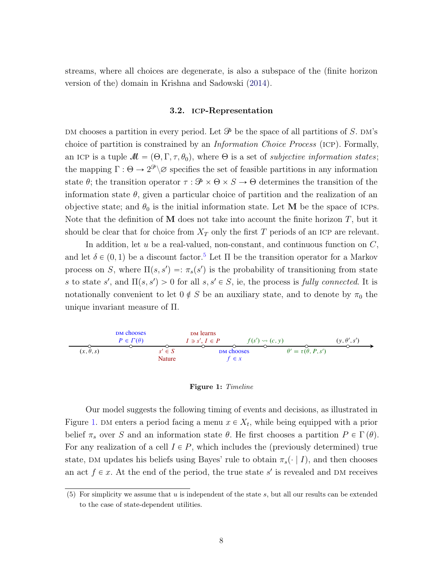<span id="page-7-3"></span>streams, where all choices are degenerate, is also a subspace of the (finite horizon version of the) domain in Krishna and Sadowski [\(2014\)](#page-36-4).

#### 3.2. icp-Representation

<span id="page-7-2"></span>DM chooses a partition in every period. Let  $\mathcal P$  be the space of all partitions of S. DM's choice of partition is constrained by an Information Choice Process (icp). Formally, an ICP is a tuple  $\mathcal{M} = (\Theta, \Gamma, \tau, \theta_0)$ , where  $\Theta$  is a set of *subjective information states*; the mapping  $\Gamma : \Theta \to 2^{\mathcal{P}} \setminus \emptyset$  specifies the set of feasible partitions in any information state  $\theta$ ; the transition operator  $\tau : \mathcal{P} \times \Theta \times S \to \Theta$  determines the transition of the information state  $\theta$ , given a particular choice of partition and the realization of an objective state; and  $\theta_0$  is the initial information state. Let M be the space of ICPs. Note that the definition of does not take into account the finite horizon  $T$ , but it should be clear that for choice from  $X_T$  only the first T periods of an ICP are relevant.

In addition, let  $u$  be a real-valued, non-constant, and continuous function on  $C$ , and let  $\delta \in (0, 1)$  be a discount factor.<sup>[5](#page-7-0)</sup> Let  $\Pi$  be the transition operator for a Markov process on S, where  $\Pi(s, s') =: \pi_s(s')$  is the probability of transitioning from state s to state s', and  $\Pi(s, s') > 0$  for all  $s, s' \in S$ , ie, the process is fully connected. It is notationally convenient to let  $0 \notin S$  be an auxiliary state, and to denote by  $\pi_0$  the unique invariant measure of Π.



#### <span id="page-7-1"></span>Figure 1: Timeline

Our model suggests the following timing of events and decisions, as illustrated in Figure [1.](#page-7-1) DM enters a period facing a menu  $x \in X_t$ , while being equipped with a prior belief  $\pi_s$  over S and an information state  $\theta$ . He first chooses a partition  $P \in \Gamma(\theta)$ . For any realization of a cell  $I \in P$ , which includes the (previously determined) true state, DM updates his beliefs using Bayes' rule to obtain  $\pi_s(\cdot | I)$ , and then chooses an act  $f \in \mathcal{X}$ . At the end of the period, the true state s' is revealed and DM receives

<span id="page-7-0"></span><sup>(5)</sup> For simplicity we assume that  $u$  is independent of the state  $s$ , but all our results can be extended to the case of state-dependent utilities.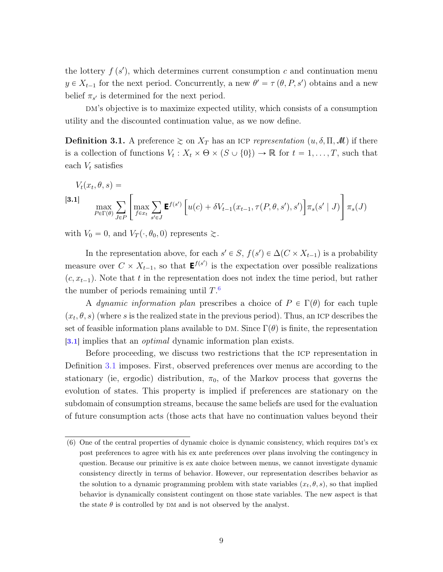the lottery  $f(s')$ , which determines current consumption c and continuation menu  $y \in X_{t-1}$  for the next period. Concurrently, a new  $\theta' = \tau(\theta, P, s')$  obtains and a new belief  $\pi_{s'}$  is determined for the next period.

DM's objective is to maximize expected utility, which consists of a consumption utility and the discounted continuation value, as we now define.

<span id="page-8-2"></span>**Definition 3.1.** A preference  $\geq$  on  $X_T$  has an ICP representation  $(u, \delta, \Pi, \mathcal{M})$  if there is a collection of functions  $V_t: X_t \times \Theta \times (S \cup \{0\}) \to \mathbb{R}$  for  $t = 1, \ldots, T$ , such that each  $V_t$  satisfies

<span id="page-8-1"></span>
$$
V_t(x_t, \theta, s) =
$$
  
\n
$$
\max_{P \in \Gamma(\theta)} \sum_{J \in P} \left[ \max_{f \in x_t} \sum_{s' \in J} \mathbf{E}^{f(s')} \left[ u(c) + \delta V_{t-1}(x_{t-1}, \tau(P, \theta, s'), s') \right] \pi_s(s' \mid J) \right] \pi_s(J)
$$

with  $V_0 = 0$ , and  $V_T(\cdot, \theta_0, 0)$  represents  $\gtrsim$ .

In the representation above, for each  $s' \in S$ ,  $f(s') \in \Delta(C \times X_{t-1})$  is a probability measure over  $C \times X_{t-1}$ , so that  $\mathbf{E}^{f(s')}$  is the expectation over possible realizations  $(c, x_{t-1})$ . Note that t in the representation does not index the time period, but rather the number of periods remaining until  $T<sup>6</sup>$  $T<sup>6</sup>$  $T<sup>6</sup>$ 

A dynamic information plan prescribes a choice of  $P \in \Gamma(\theta)$  for each tuple  $(x_t, \theta, s)$  (where s is the realized state in the previous period). Thus, an ICP describes the set of feasible information plans available to DM. Since  $\Gamma(\theta)$  is finite, the representation [[3.1](#page-8-1)] implies that an *optimal* dynamic information plan exists.

Before proceeding, we discuss two restrictions that the icp representation in Definition [3.1](#page-8-2) imposes. First, observed preferences over menus are according to the stationary (ie, ergodic) distribution,  $\pi_0$ , of the Markov process that governs the evolution of states. This property is implied if preferences are stationary on the subdomain of consumption streams, because the same beliefs are used for the evaluation of future consumption acts (those acts that have no continuation values beyond their

<span id="page-8-0"></span> $(6)$  One of the central properties of dynamic choice is dynamic consistency, which requires DM's ex post preferences to agree with his ex ante preferences over plans involving the contingency in question. Because our primitive is ex ante choice between menus, we cannot investigate dynamic consistency directly in terms of behavior. However, our representation describes behavior as the solution to a dynamic programming problem with state variables  $(x_t, \theta, s)$ , so that implied behavior is dynamically consistent contingent on those state variables. The new aspect is that the state  $\theta$  is controlled by DM and is not observed by the analyst.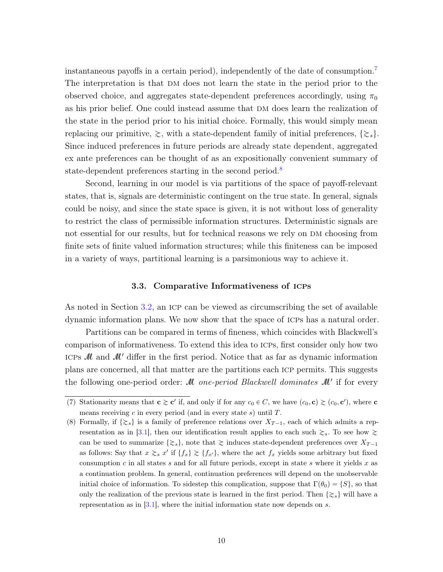instantaneous payoffs in a certain period), independently of the date of consumption.[7](#page-9-0) The interpretation is that DM does not learn the state in the period prior to the observed choice, and aggregates state-dependent preferences accordingly, using  $\pi_0$ as his prior belief. One could instead assume that DM does learn the realization of the state in the period prior to his initial choice. Formally, this would simply mean replacing our primitive,  $\gtrsim$ , with a state-dependent family of initial preferences,  $\{\gtrsim_s\}$ . Since induced preferences in future periods are already state dependent, aggregated ex ante preferences can be thought of as an expositionally convenient summary of state-dependent preferences starting in the second period.<sup>[8](#page-9-1)</sup>

Second, learning in our model is via partitions of the space of payoff-relevant states, that is, signals are deterministic contingent on the true state. In general, signals could be noisy, and since the state space is given, it is not without loss of generality to restrict the class of permissible information structures. Deterministic signals are not essential for our results, but for technical reasons we rely on DM choosing from finite sets of finite valued information structures; while this finiteness can be imposed in a variety of ways, partitional learning is a parsimonious way to achieve it.

#### 3.3. Comparative Informativeness of icps

<span id="page-9-2"></span>As noted in Section [3.2,](#page-7-2) an ICP can be viewed as circumscribing the set of available dynamic information plans. We now show that the space of icps has a natural order.

Partitions can be compared in terms of fineness, which coincides with Blackwell's comparison of informativeness. To extend this idea to icps, first consider only how two ICPs  $M$  and  $M'$  differ in the first period. Notice that as far as dynamic information plans are concerned, all that matter are the partitions each icp permits. This suggests the following one-period order:  $\mathcal M$  one-period Blackwell dominates  $\mathcal M'$  if for every

<span id="page-9-0"></span><sup>(7)</sup> Stationarity means that  $\mathbf{c} \gtrsim \mathbf{c}'$  if, and only if for any  $c_0 \in C$ , we have  $(c_0, \mathbf{c}) \gtrsim (c_0, \mathbf{c}')$ , where  $\mathbf{c}$ means receiving  $c$  in every period (and in every state  $s$ ) until  $T$ .

<span id="page-9-1"></span><sup>(8)</sup> Formally, if  $\{\gtrsim_s\}$  is a family of preference relations over  $X_{T-1}$ , each of which admits a rep-resentation as in [\[3.1\]](#page-8-1), then our identification result applies to each such  $\gtrsim_s$ . To see how  $\gtrsim$ can be used to summarize  $\{\gtrsim_s\}$ , note that  $\gtrsim$  induces state-dependent preferences over  $X_{T-1}$ as follows: Say that  $x \gtrsim_s x'$  if  $\{f_x\} \gtrsim \{f_{x'}\}$ , where the act  $f_x$  yields some arbitrary but fixed consumption c in all states s and for all future periods, except in state s where it yields x as a continuation problem. In general, continuation preferences will depend on the unobservable initial choice of information. To sidestep this complication, suppose that  $\Gamma(\theta_0) = \{S\}$ , so that only the realization of the previous state is learned in the first period. Then  $\{\gtrsim_s\}$  will have a representation as in  $[3.1]$ , where the initial information state now depends on s.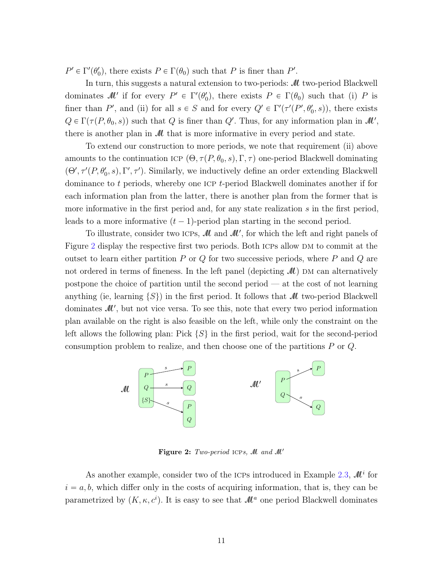$P' \in \Gamma'(\theta_0')$ , there exists  $P \in \Gamma(\theta_0)$  such that P is finer than P'.

In turn, this suggests a natural extension to two-periods:  $\mathcal M$  two-period Blackwell dominates  $\mathcal{M}'$  if for every  $P' \in \Gamma'(\theta_0')$ , there exists  $P \in \Gamma(\theta_0)$  such that (i) P is finer than P', and (ii) for all  $s \in S$  and for every  $Q' \in \Gamma'(\tau'(P', \theta_0', s))$ , there exists  $Q \in \Gamma(\tau(P, \theta_0, s))$  such that Q is finer than Q'. Thus, for any information plan in  $\mathcal{M}',$ there is another plan in  $\mathcal M$  that is more informative in every period and state.

To extend our construction to more periods, we note that requirement (ii) above amounts to the continuation ICP  $(\Theta, \tau(P, \theta_0, s), \Gamma, \tau)$  one-period Blackwell dominating  $(\Theta', \tau'(P, \theta'_0, s), \Gamma', \tau')$ . Similarly, we inductively define an order extending Blackwell dominance to t periods, whereby one ICP t-period Blackwell dominates another if for each information plan from the latter, there is another plan from the former that is more informative in the first period and, for any state realization s in the first period, leads to a more informative  $(t - 1)$ -period plan starting in the second period.

To illustrate, consider two ICPs,  $\mathcal{M}$  and  $\mathcal{M}'$ , for which the left and right panels of Figure [2](#page-10-0) display the respective first two periods. Both ICPs allow DM to commit at the outset to learn either partition  $P$  or  $Q$  for two successive periods, where  $P$  and  $Q$  are not ordered in terms of fineness. In the left panel (depicting  $\mathcal{M}$ ) DM can alternatively postpone the choice of partition until the second period — at the cost of not learning anything (ie, learning  $\{S\}$ ) in the first period. It follows that M two-period Blackwell dominates  $\mathcal{M}'$ , but not vice versa. To see this, note that every two period information plan available on the right is also feasible on the left, while only the constraint on the left allows the following plan: Pick  $\{S\}$  in the first period, wait for the second-period consumption problem to realize, and then choose one of the partitions P or Q.



<span id="page-10-0"></span>Figure 2: Two-period ICPs, M and M'

As another example, consider two of the ICPs introduced in Example [2.3,](#page-5-0)  $\mathcal{M}^i$  for  $i = a, b$ , which differ only in the costs of acquiring information, that is, they can be parametrized by  $(K, \kappa, c^i)$ . It is easy to see that  $\mathcal{M}^a$  one period Blackwell dominates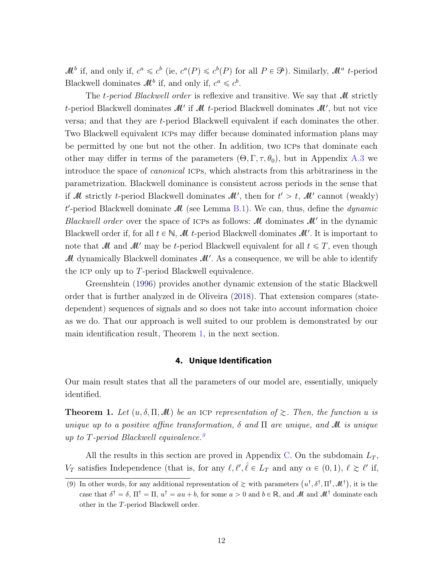<span id="page-11-3"></span> $\mathcal{M}^b$  if, and only if,  $c^a \leqslant c^b$  (ie,  $c^a(P) \leqslant c^b(P)$  for all  $P \in \mathcal{P}$ ). Similarly,  $\mathcal{M}^a$  t-period Blackwell dominates  $\mathcal{M}^b$  if, and only if,  $c^a \leq c^b$ .

The t-period Blackwell order is reflexive and transitive. We say that M strictly t-period Blackwell dominates  $\mathcal{M}'$  if  $\mathcal M$  t-period Blackwell dominates  $\mathcal M'$ , but not vice versa; and that they are t-period Blackwell equivalent if each dominates the other. Two Blackwell equivalent icps may differ because dominated information plans may be permitted by one but not the other. In addition, two icps that dominate each other may differ in terms of the parameters  $(\Theta, \Gamma, \tau, \theta_0)$ , but in Appendix [A.3](#page-27-0) we introduce the space of canonical icps, which abstracts from this arbitrariness in the parametrization. Blackwell dominance is consistent across periods in the sense that if M strictly *t*-period Blackwell dominates  $\mathcal{M}'$ , then for  $t' > t$ ,  $\mathcal{M}'$  cannot (weakly)  $t'$ -period Blackwell dominate  $\mathcal M$  (see Lemma [B.1\)](#page-30-0). We can, thus, define the *dynamic* Blackwell order over the space of ICPs as follows:  $\mathcal{M}$  dominates  $\mathcal{M}'$  in the dynamic Blackwell order if, for all  $t \in \mathbb{N}$ ,  $\mathcal{M}$  t-period Blackwell dominates  $\mathcal{M}'$ . It is important to note that M and M' may be t-period Blackwell equivalent for all  $t \leq T$ , even though  $\mathcal M$  dynamically Blackwell dominates  $\mathcal M'$ . As a consequence, we will be able to identify the ICP only up to T-period Blackwell equivalence.

Greenshtein [\(1996\)](#page-36-5) provides another dynamic extension of the static Blackwell order that is further analyzed in de Oliveira [\(2018\)](#page-35-1). That extension compares (statedependent) sequences of signals and so does not take into account information choice as we do. That our approach is well suited to our problem is demonstrated by our main identification result, Theorem [1,](#page-11-0) in the next section.

## **4. Unique Identification**

<span id="page-11-1"></span>Our main result states that all the parameters of our model are, essentially, uniquely identified.

<span id="page-11-0"></span>**Theorem 1.** Let  $(u, \delta, \Pi, M)$  be an ICP representation of  $\gtrsim$ . Then, the function u is unique up to a positive affine transformation,  $\delta$  and  $\Pi$  are unique, and  $\mathcal M$  is unique up to T-period Blackwell equivalence.<sup>[9](#page-11-2)</sup>

All the results in this section are proved in Appendix [C.](#page-31-0) On the subdomain  $L_T$ ,  $V_T$  satisfies Independence (that is, for any  $\ell, \ell', \hat{\ell} \in L_T$  and any  $\alpha \in (0, 1), \ell \geq \ell'$  if,

<span id="page-11-2"></span><sup>(9)</sup> In other words, for any additional representation of  $\gtrsim$  with parameters  $(u^{\dagger}, \delta^{\dagger}, \Pi^{\dagger}, \mathcal{M}^{\dagger})$ , it is the case that  $\delta^{\dagger} = \delta$ ,  $\Pi^{\dagger} = \Pi$ ,  $u^{\dagger} = au + b$ , for some  $a > 0$  and  $b \in \mathbb{R}$ , and  $\mathcal{M}$  and  $\mathcal{M}^{\dagger}$  dominate each other in the T-period Blackwell order.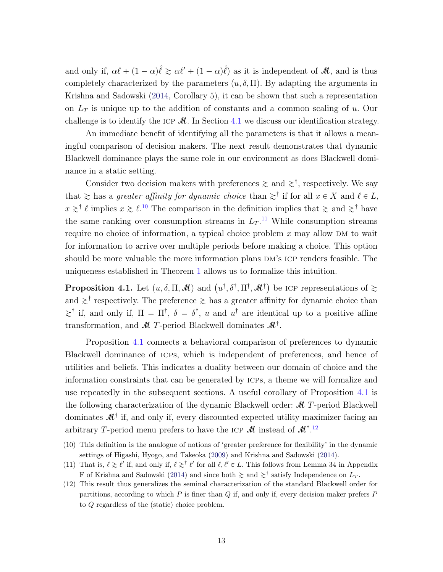<span id="page-12-4"></span>and only if,  $\alpha \ell + (1 - \alpha)\hat{\ell} \gtrsim \alpha \ell' + (1 - \alpha)\hat{\ell}$  as it is independent of  $\mathcal{M}$ , and is thus completely characterized by the parameters  $(u, \delta, \Pi)$ . By adapting the arguments in Krishna and Sadowski [\(2014,](#page-36-4) Corollary 5), it can be shown that such a representation on  $L<sub>T</sub>$  is unique up to the addition of constants and a common scaling of u. Our challenge is to identify the ICP  $\mathcal{M}$ . In Section [4.1](#page-13-0) we discuss our identification strategy.

An immediate benefit of identifying all the parameters is that it allows a meaningful comparison of decision makers. The next result demonstrates that dynamic Blackwell dominance plays the same role in our environment as does Blackwell dominance in a static setting.

Consider two decision makers with preferences  $\geq$  and  $\geq^{\dagger}$ , respectively. We say that  $\geq$  has a greater affinity for dynamic choice than  $\geq^{\dagger}$  if for all  $x \in X$  and  $\ell \in L$ ,  $x \geq t$  implies  $x \geq t$ .<sup>[10](#page-12-0)</sup> The comparison in the definition implies that  $\geq$  and  $\geq$ <sup>†</sup> have the same ranking over consumption streams in  $L_T$ .<sup>[11](#page-12-1)</sup> While consumption streams require no choice of information, a typical choice problem  $x$  may allow DM to wait for information to arrive over multiple periods before making a choice. This option should be more valuable the more information plans DM's ICP renders feasible. The uniqueness established in Theorem [1](#page-11-0) allows us to formalize this intuition.

<span id="page-12-2"></span>**Proposition 4.1.** Let  $(u, \delta, \Pi, \mathcal{M})$  and  $(u^{\dagger}, \delta^{\dagger}, \Pi^{\dagger}, \mathcal{M}^{\dagger})$  be ICP representations of  $\gtrsim$ and  $\gtrsim^{\dagger}$  respectively. The preference  $\gtrsim$  has a greater affinity for dynamic choice than  $\gtrsim^{\dagger}$  if, and only if,  $\Pi = \Pi^{\dagger}$ ,  $\delta = \delta^{\dagger}$ , u and  $u^{\dagger}$  are identical up to a positive affine transformation, and  $\mathcal M$  T-period Blackwell dominates  $\mathcal M^{\dagger}$ .

Proposition [4.1](#page-12-2) connects a behavioral comparison of preferences to dynamic Blackwell dominance of icps, which is independent of preferences, and hence of utilities and beliefs. This indicates a duality between our domain of choice and the information constraints that can be generated by icps, a theme we will formalize and use repeatedly in the subsequent sections. A useful corollary of Proposition [4.1](#page-12-2) is the following characterization of the dynamic Blackwell order: M T-period Blackwell dominates  $\mathcal{M}^{\dagger}$  if, and only if, every discounted expected utility maximizer facing an arbitrary T-period menu prefers to have the ICP  $\mathcal{M}$  instead of  $\mathcal{M}^{\dagger}$ .<sup>[12](#page-12-3)</sup>

<span id="page-12-0"></span><sup>(10)</sup> This definition is the analogue of notions of 'greater preference for flexibility' in the dynamic settings of Higashi, Hyogo, and Takeoka [\(2009\)](#page-36-6) and Krishna and Sadowski [\(2014\)](#page-36-4).

<span id="page-12-1"></span><sup>(11)</sup> That is,  $\ell \gtrsim \ell'$  if, and only if,  $\ell \gtrsim \ell'$  for all  $\ell, \ell' \in L$ . This follows from Lemma 34 in Appendix F of Krishna and Sadowski [\(2014\)](#page-36-4) and since both  $\gtrsim$  and  $\gtrsim$ <sup>†</sup> satisfy Independence on  $L_T$ .

<span id="page-12-3"></span><sup>(12)</sup> This result thus generalizes the seminal characterization of the standard Blackwell order for partitions, according to which  $P$  is finer than  $Q$  if, and only if, every decision maker prefers  $P$ to Q regardless of the (static) choice problem.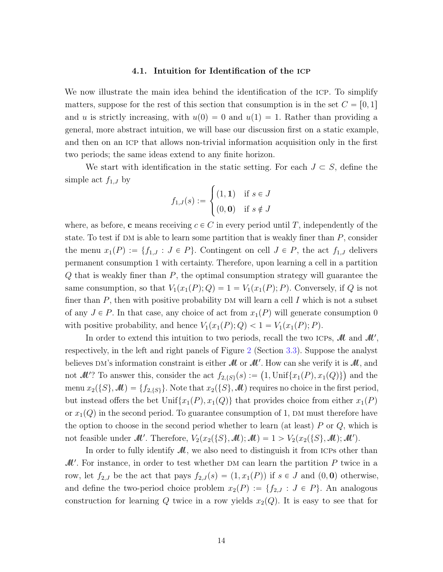## 4.1. Intuition for Identification of the icp

<span id="page-13-0"></span>We now illustrate the main idea behind the identification of the icp. To simplify matters, suppose for the rest of this section that consumption is in the set  $C = [0, 1]$ and u is strictly increasing, with  $u(0) = 0$  and  $u(1) = 1$ . Rather than providing a general, more abstract intuition, we will base our discussion first on a static example, and then on an icp that allows non-trivial information acquisition only in the first two periods; the same ideas extend to any finite horizon.

We start with identification in the static setting. For each  $J \subset S$ , define the simple act  $f_{1,J}$  by

$$
f_{1,J}(s) := \begin{cases} (1,1) & \text{if } s \in J \\ (0,0) & \text{if } s \notin J \end{cases}
$$

where, as before, c means receiving  $c \in C$  in every period until T, independently of the state. To test if DM is able to learn some partition that is weakly finer than  $P$ , consider the menu  $x_1(P) := \{f_{1,J} : J \in P\}$ . Contingent on cell  $J \in P$ , the act  $f_{1,J}$  delivers permanent consumption 1 with certainty. Therefore, upon learning a cell in a partition  $Q$  that is weakly finer than  $P$ , the optimal consumption strategy will guarantee the same consumption, so that  $V_1(x_1(P); Q) = 1 = V_1(x_1(P); P)$ . Conversely, if Q is not finer than  $P$ , then with positive probability DM will learn a cell I which is not a subset of any  $J \in P$ . In that case, any choice of act from  $x_1(P)$  will generate consumption 0 with positive probability, and hence  $V_1(x_1(P); Q) < 1 = V_1(x_1(P); P)$ .

In order to extend this intuition to two periods, recall the two ICPs,  $\mathcal{M}$  and  $\mathcal{M}'$ , respectively, in the left and right panels of Figure [2](#page-10-0) (Section [3.3\)](#page-9-2). Suppose the analyst believes DM's information constraint is either  $\mathcal M$  or  $\mathcal M'$ . How can she verify it is  $\mathcal M$ , and beneves DM s information constraint is either *M* or *M* . How can she verify it is *M*, and<br>not *M*'? To answer this, consider the act  $f_{2,\{S\}}(s) := (1, \text{Unif}\{x_1(P), x_1(Q)\})$  and the menu  $x_2({S},\mathcal{M}) = {f_{2,S}}$ . Note that  $x_2({S},\mathcal{M})$  requires no choice in the first period, but instead offers the bet Unif $\{x_1(P), x_1(Q)\}\$  that provides choice from either  $x_1(P)$ or  $x_1(Q)$  in the second period. To guarantee consumption of 1, DM must therefore have the option to choose in the second period whether to learn (at least)  $P$  or  $Q$ , which is not feasible under M'. Therefore,  $V_2(x_2({S},\mathcal{M});\mathcal{M}) = 1 > V_2(x_2({S},\mathcal{M});\mathcal{M}').$ 

In order to fully identify  $\mathcal{M}$ , we also need to distinguish it from ICPs other than  $M'$ . For instance, in order to test whether DM can learn the partition P twice in a row, let  $f_{2,J}$  be the act that pays  $f_{2,J}(s) = (1, x_1(P))$  if  $s \in J$  and  $(0, 0)$  otherwise, and define the two-period choice problem  $x_2(P) := \{f_{2,J} : J \in P\}$ . An analogous construction for learning Q twice in a row yields  $x_2(Q)$ . It is easy to see that for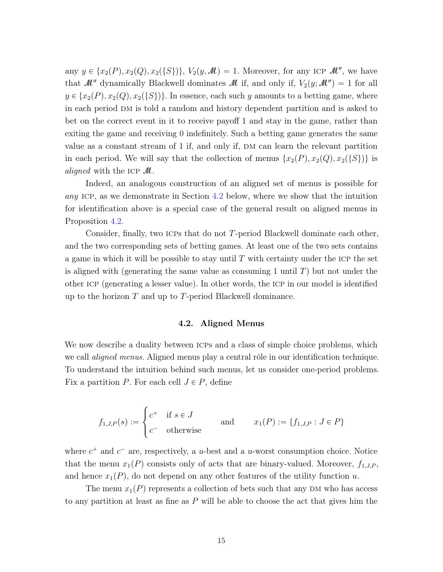any  $y \in \{x_2(P), x_2(Q), x_2(\{S\})\}, V_2(y, M) = 1$ . Moreover, for any ICP  $M''$ , we have that  $\mathcal{M}$ <sup>n</sup> dynamically Blackwell dominates  $\mathcal{M}$  if, and only if,  $V_2(y; \mathcal{M}^{\prime\prime}) = 1$  for all  $y \in \{x_2(P), x_2(Q), x_2(\{S\})\}.$  In essence, each such y amounts to a betting game, where in each period dm is told a random and history dependent partition and is asked to bet on the correct event in it to receive payoff 1 and stay in the game, rather than exiting the game and receiving 0 indefinitely. Such a betting game generates the same value as a constant stream of 1 if, and only if, DM can learn the relevant partition in each period. We will say that the collection of menus  $\{x_2(P), x_2(Q), x_2(\{S\})\}$  is *aligned* with the ICP  $\mathcal{M}$ .

Indeed, an analogous construction of an aligned set of menus is possible for any ICP, as we demonstrate in Section [4.2](#page-14-0) below, where we show that the intuition for identification above is a special case of the general result on aligned menus in Proposition [4.2.](#page-16-0)

Consider, finally, two ICPs that do not  $T$ -period Blackwell dominate each other, and the two corresponding sets of betting games. At least one of the two sets contains a game in which it will be possible to stay until  $T$  with certainty under the ICP the set is aligned with (generating the same value as consuming 1 until  $T$ ) but not under the other icp (generating a lesser value). In other words, the icp in our model is identified up to the horizon  $T$  and up to  $T$ -period Blackwell dominance.

## 4.2. Aligned Menus

<span id="page-14-0"></span>We now describe a duality between ICPs and a class of simple choice problems, which we call *aligned menus*. Aligned menus play a central rôle in our identification technique. To understand the intuition behind such menus, let us consider one-period problems. Fix a partition P. For each cell  $J \in P$ , define

$$
f_{1,J,P}(s) := \begin{cases} c^+ & \text{if } s \in J \\ c^- & \text{otherwise} \end{cases} \qquad \text{and} \qquad x_1(P) := \{f_{1,J,P} : J \in P\}
$$

where  $c^+$  and  $c^-$  are, respectively, a u-best and a u-worst consumption choice. Notice that the menu  $x_1(P)$  consists only of acts that are binary-valued. Moreover,  $f_{1,J,P}$ , and hence  $x_1(P)$ , do not depend on any other features of the utility function u.

The menu  $x_1(P)$  represents a collection of bets such that any DM who has access to any partition at least as fine as  $P$  will be able to choose the act that gives him the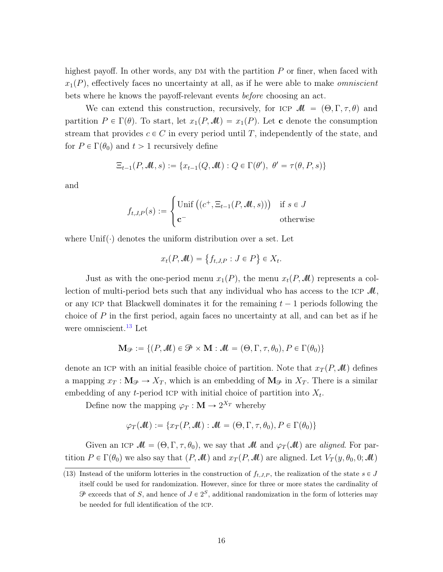highest payoff. In other words, any  $DM$  with the partition  $P$  or finer, when faced with  $x_1(P)$ , effectively faces no uncertainty at all, as if he were able to make *omniscient* bets where he knows the payoff-relevant events before choosing an act.

We can extend this construction, recursively, for ICP  $\mathcal{M} = (\Theta, \Gamma, \tau, \theta)$  and partition  $P \in \Gamma(\theta)$ . To start, let  $x_1(P,\mathcal{M}) = x_1(P)$ . Let **c** denote the consumption stream that provides  $c \in C$  in every period until T, independently of the state, and for  $P \in \Gamma(\theta_0)$  and  $t > 1$  recursively define

$$
\Xi_{t-1}(P,\mathcal{M},s) := \{x_{t-1}(Q,\mathcal{M}) : Q \in \Gamma(\theta'), \ \theta' = \tau(\theta,P,s)\}
$$

and

$$
f_{t,J,P}(s) := \begin{cases} \text{Unif } \big( (c^+, \Xi_{t-1}(P, \mathcal{M}, s)) \big) & \text{if } s \in J \\ \mathbf{c}^- & \text{otherwise} \end{cases}
$$

where  $Unif(\cdot)$  denotes the uniform distribution over a set. Let

$$
x_t(P, \mathcal{M}) = \{f_{t,J,P} : J \in P\} \in X_t.
$$

(

Just as with the one-period menu  $x_1(P)$ , the menu  $x_t(P, M)$  represents a collection of multi-period bets such that any individual who has access to the ICP  $\mathcal{M}$ , or any ICP that Blackwell dominates it for the remaining  $t - 1$  periods following the choice of  $P$  in the first period, again faces no uncertainty at all, and can bet as if he were omniscient.<sup>[13](#page-15-0)</sup> Let

$$
\mathbf{M}_{\mathcal{P}} := \{ (P, \mathcal{M}) \in \mathcal{P} \times \mathbf{M} : \mathcal{M} = (\Theta, \Gamma, \tau, \theta_0), P \in \Gamma(\theta_0) \}
$$

denote an ICP with an initial feasible choice of partition. Note that  $x_T(P, M)$  defines a mapping  $x_T : \mathbf{M}_{\mathcal{P}} \to X_T$ , which is an embedding of  $\mathbf{M}_{\mathcal{P}}$  in  $X_T$ . There is a similar embedding of any t-period ICP with initial choice of partition into  $X_t$ .

Define now the mapping  $\varphi_T : \mathbf{M} \to 2^{X_T}$  whereby

$$
\varphi_T(\mathcal{M}) := \{ x_T(P, \mathcal{M}) : \mathcal{M} = (\Theta, \Gamma, \tau, \theta_0), P \in \Gamma(\theta_0) \}
$$

Given an ICP  $\mathcal{M} = (\Theta, \Gamma, \tau, \theta_0)$ , we say that  $\mathcal{M}$  and  $\varphi_T(\mathcal{M})$  are aligned. For partition  $P \in \Gamma(\theta_0)$  we also say that  $(P, \mathcal{M})$  and  $x_T(P, \mathcal{M})$  are aligned. Let  $V_T(y, \theta_0, 0; \mathcal{M})$ 

<span id="page-15-0"></span><sup>(13)</sup> Instead of the uniform lotteries in the construction of  $f_{t,J,P}$ , the realization of the state  $s \in J$ itself could be used for randomization. However, since for three or more states the cardinality of  $\mathcal P$  exceeds that of S, and hence of  $J \in 2^S$ , additional randomization in the form of lotteries may be needed for full identification of the icp.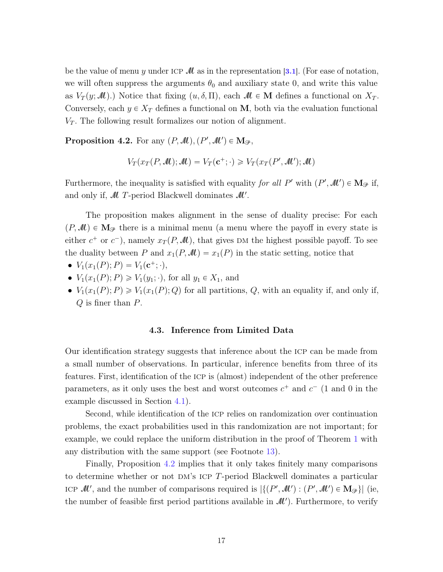be the value of menu y under ICP  $\mathcal M$  as in the representation [[3.1](#page-8-1)]. (For ease of notation, we will often suppress the arguments  $\theta_0$  and auxiliary state 0, and write this value as  $V_T(y; \mathcal{M})$ .) Notice that fixing  $(u, \delta, \Pi)$ , each  $\mathcal{M} \in \mathbf{M}$  defines a functional on  $X_T$ . Conversely, each  $y \in X_T$  defines a functional on M, both via the evaluation functional  $V_T$ . The following result formalizes our notion of alignment.

<span id="page-16-0"></span>**Proposition 4.2.** For any  $(P, M), (P', M') \in M_{\mathcal{P}},$ 

$$
V_T(x_T(P, \mathcal{M}); \mathcal{M}) = V_T(\mathbf{c}^+; \cdot) \geq V_T(x_T(P', \mathcal{M}'); \mathcal{M})
$$

Furthermore, the inequality is satisfied with equality for all P' with  $(P', \mathcal{M}') \in M_{\mathcal{P}}$  if, and only if,  $\mathcal M$  T-period Blackwell dominates  $\mathcal M'$ .

The proposition makes alignment in the sense of duality precise: For each  $(P, \mathcal{M}) \in \mathbf{M}_{\mathcal{P}}$  there is a minimal menu (a menu where the payoff in every state is either  $c^+$  or  $c^-$ ), namely  $x_T(P, M)$ , that gives DM the highest possible payoff. To see the duality between P and  $x_1(P, M) = x_1(P)$  in the static setting, notice that

- $V_1(x_1(P); P) = V_1(\mathbf{c}^+; \cdot),$
- $V_1(x_1(P); P) \ge V_1(y_1; \cdot)$ , for all  $y_1 \in X_1$ , and
- $V_1(x_1(P); P) \geq V_1(x_1(P); Q)$  for all partitions, Q, with an equality if, and only if,  $Q$  is finer than  $P$ .

### 4.3. Inference from Limited Data

Our identification strategy suggests that inference about the icp can be made from a small number of observations. In particular, inference benefits from three of its features. First, identification of the icp is (almost) independent of the other preference parameters, as it only uses the best and worst outcomes  $c^+$  and  $c^-$  (1 and 0 in the example discussed in Section [4.1\)](#page-13-0).

Second, while identification of the icp relies on randomization over continuation problems, the exact probabilities used in this randomization are not important; for example, we could replace the uniform distribution in the proof of Theorem [1](#page-11-0) with any distribution with the same support (see Footnote [13\)](#page-15-0).

Finally, Proposition [4.2](#page-16-0) implies that it only takes finitely many comparisons to determine whether or not  $DM$ 's ICP T-period Blackwell dominates a particular ICP  $\mathcal{M}'$ , and the number of comparisons required is  $|\{(P',\mathcal{M}'): (P',\mathcal{M}')\in \mathbf{M}_{\mathcal{P}}\}|$  (ie, the number of feasible first period partitions available in  $\mathcal{M}'$ ). Furthermore, to verify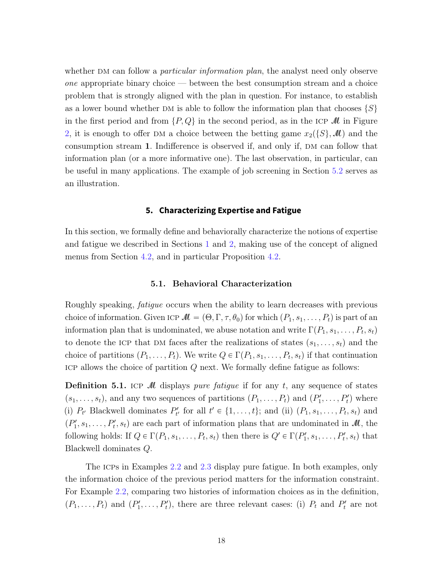whether DM can follow a *particular information plan*, the analyst need only observe  $one$  appropriate binary choice — between the best consumption stream and a choice problem that is strongly aligned with the plan in question. For instance, to establish as a lower bound whether DM is able to follow the information plan that chooses  $\{S\}$ in the first period and from  $\{P, Q\}$  in the second period, as in the ICP M in Figure [2,](#page-10-0) it is enough to offer DM a choice between the betting game  $x_2(\{S\},\mathcal{M})$  and the consumption stream 1. Indifference is observed if, and only if, DM can follow that information plan (or a more informative one). The last observation, in particular, can be useful in many applications. The example of job screening in Section [5.2](#page-20-0) serves as an illustration.

## **5. Characterizing Expertise and Fatigue**

<span id="page-17-0"></span>In this section, we formally define and behaviorally characterize the notions of expertise and fatigue we described in Sections [1](#page-1-0) and [2,](#page-3-0) making use of the concept of aligned menus from Section [4.2,](#page-14-0) and in particular Proposition [4.2.](#page-16-0)

#### 5.1. Behavioral Characterization

<span id="page-17-2"></span>Roughly speaking, fatigue occurs when the ability to learn decreases with previous choice of information. Given ICP  $M = (\Theta, \Gamma, \tau, \theta_0)$  for which  $(P_1, s_1, \ldots, P_t)$  is part of an information plan that is undominated, we abuse notation and write  $\Gamma(P_1, s_1, \ldots, P_t, s_t)$ to denote the ICP that DM faces after the realizations of states  $(s_1, \ldots, s_t)$  and the choice of partitions  $(P_1, \ldots, P_t)$ . We write  $Q \in \Gamma(P_1, s_1, \ldots, P_t, s_t)$  if that continuation ICP allows the choice of partition  $Q$  next. We formally define fatigue as follows:

<span id="page-17-1"></span>**Definition 5.1.** ICP M displays pure fatigue if for any t, any sequence of states  $(s_1, \ldots, s_t)$ , and any two sequences of partitions  $(P_1, \ldots, P_t)$  and  $(P'_1, \ldots, P'_t)$  where (i)  $P_{t'}$  Blackwell dominates  $P'_{t'}$  for all  $t' \in \{1, \ldots, t\}$ ; and (ii)  $(P_1, s_1, \ldots, P_t, s_t)$  and  $(P'_1, s_1, \ldots, P'_t, s_t)$  are each part of information plans that are undominated in  $\mathcal{M}$ , the following holds: If  $Q \in \Gamma(P_1, s_1, \ldots, P_t, s_t)$  then there is  $Q' \in \Gamma(P'_1, s_1, \ldots, P'_t, s_t)$  that Blackwell dominates Q.

The icps in Examples [2.2](#page-4-2) and [2.3](#page-5-0) display pure fatigue. In both examples, only the information choice of the previous period matters for the information constraint. For Example [2.2,](#page-4-2) comparing two histories of information choices as in the definition,  $(P_1, \ldots, P_t)$  and  $(P'_1, \ldots, P'_t)$ , there are three relevant cases: (i)  $P_t$  and  $P'_t$  are not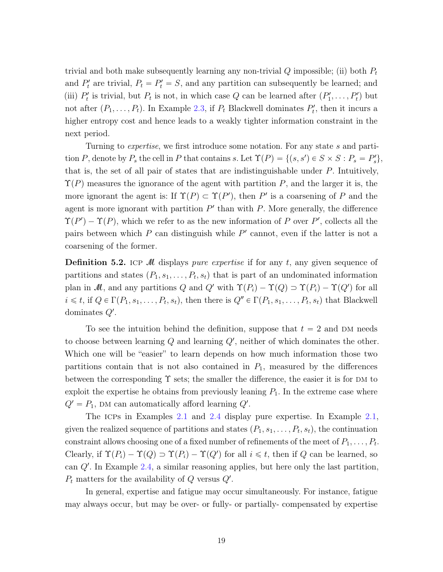trivial and both make subsequently learning any non-trivial  $Q$  impossible; (ii) both  $P_t$ and  $P'_t$  are trivial,  $P_t = P'_t = S$ , and any partition can subsequently be learned; and (iii)  $P'_t$  is trivial, but  $P_t$  is not, in which case Q can be learned after  $(P'_1, \ldots, P'_t)$  but not after  $(P_1, \ldots, P_t)$ . In Example [2.3,](#page-5-0) if  $P_t$  Blackwell dominates  $P'_t$ , then it incurs a higher entropy cost and hence leads to a weakly tighter information constraint in the next period.

Turning to *expertise*, we first introduce some notation. For any state s and partition P, denote by  $P_s$  the cell in P that contains s. Let  $\Upsilon(P) = \{(s, s') \in S \times S : P_s = P'_s\},\$ that is, the set of all pair of states that are indistinguishable under  $P$ . Intuitively,  $\Upsilon(P)$  measures the ignorance of the agent with partition P, and the larger it is, the more ignorant the agent is: If  $\Upsilon(P) \subset \Upsilon(P')$ , then P' is a coarsening of P and the agent is more ignorant with partition  $P'$  than with  $P$ . More generally, the difference  $\Upsilon(P') - \Upsilon(P)$ , which we refer to as the new information of P over P', collects all the pairs between which  $P$  can distinguish while  $P'$  cannot, even if the latter is not a coarsening of the former.

<span id="page-18-0"></span>**Definition 5.2.** ICP M displays *pure expertise* if for any t, any given sequence of partitions and states  $(P_1, s_1, \ldots, P_t, s_t)$  that is part of an undominated information plan in M, and any partitions Q and Q' with  $\Upsilon(P_i) - \Upsilon(Q) \supset \Upsilon(P_i) - \Upsilon(Q')$  for all  $i \leq t$ , if  $Q \in \Gamma(P_1, s_1, \ldots, P_t, s_t)$ , then there is  $Q'' \in \Gamma(P_1, s_1, \ldots, P_t, s_t)$  that Blackwell dominates  $Q'$ .

To see the intuition behind the definition, suppose that  $t = 2$  and DM needs to choose between learning  $Q$  and learning  $Q'$ , neither of which dominates the other. Which one will be "easier" to learn depends on how much information those two partitions contain that is not also contained in  $P_1$ , measured by the differences between the corresponding  $\Upsilon$  sets; the smaller the difference, the easier it is for DM to exploit the expertise he obtains from previously leaning  $P_1$ . In the extreme case where  $Q' = P_1$ , DM can automatically afford learning  $Q'$ .

The icps in Examples [2.1](#page-4-3) and [2.4](#page-5-1) display pure expertise. In Example [2.1,](#page-4-3) given the realized sequence of partitions and states  $(P_1, s_1, \ldots, P_t, s_t)$ , the continuation constraint allows choosing one of a fixed number of refinements of the meet of  $P_1, \ldots, P_t$ . Clearly, if  $\Upsilon(P_i) - \Upsilon(Q) \supset \Upsilon(P_i) - \Upsilon(Q')$  for all  $i \leq t$ , then if Q can be learned, so can  $Q'$ . In Example [2.4,](#page-5-1) a similar reasoning applies, but here only the last partition,  $P_t$  matters for the availability of Q versus  $Q'$ .

In general, expertise and fatigue may occur simultaneously. For instance, fatigue may always occur, but may be over- or fully- or partially- compensated by expertise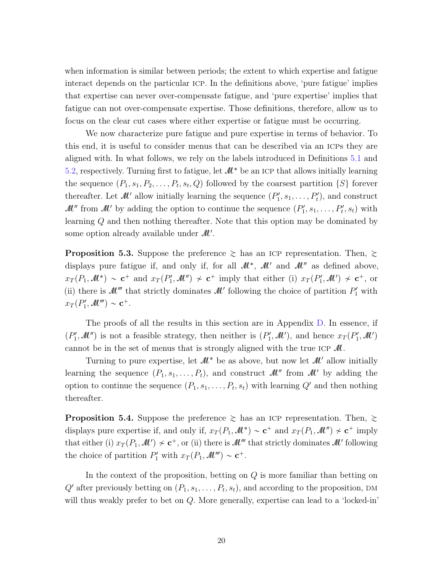when information is similar between periods; the extent to which expertise and fatigue interact depends on the particular icp. In the definitions above, 'pure fatigue' implies that expertise can never over-compensate fatigue, and 'pure expertise' implies that fatigue can not over-compensate expertise. Those definitions, therefore, allow us to focus on the clear cut cases where either expertise or fatigue must be occurring.

We now characterize pure fatigue and pure expertise in terms of behavior. To this end, it is useful to consider menus that can be described via an icps they are aligned with. In what follows, we rely on the labels introduced in Definitions [5.1](#page-17-1) and [5.2,](#page-18-0) respectively. Turning first to fatigue, let  $\mathcal{M}^*$  be an ICP that allows initially learning the sequence  $(P_1, s_1, P_2, \ldots, P_t, s_t, Q)$  followed by the coarsest partition  $\{S\}$  forever thereafter. Let  $\mathcal{M}'$  allow initially learning the sequence  $(P'_1, s_1, \ldots, P'_t)$ , and construct  $\mathcal{M}$ <sup>*''*</sup> from  $\mathcal{M}'$  by adding the option to continue the sequence  $(P'_1, s_1, \ldots, P'_t, s_t)$  with learning Q and then nothing thereafter. Note that this option may be dominated by some option already available under  $\mathcal{M}'$ .

<span id="page-19-0"></span>**Proposition 5.3.** Suppose the preference  $\geq$  has an ICP representation. Then,  $\geq$ displays pure fatigue if, and only if, for all  $\mathcal{M}^*$ ,  $\mathcal{M}'$  and  $\mathcal{M}''$  as defined above,  $x_T(P_1,\mathcal{M}^*) \sim \mathbf{c}^+$  and  $x_T(P'_1,\mathcal{M}'') \not\sim \mathbf{c}^+$  imply that either (i)  $x_T(P'_1,\mathcal{M}') \not\sim \mathbf{c}^+$ , or (ii) there is  $\mathcal{M}''$  that strictly dominates  $\mathcal{M}'$  following the choice of partition  $P'_1$  with  $x_T(P'_1, \mathcal{M}''') \sim \mathbf{c}^+.$ 

The proofs of all the results in this section are in Appendix [D.](#page-34-0) In essence, if  $(P'_1, M'')$  is not a feasible strategy, then neither is  $(P'_1, M')$ , and hence  $x_T(P'_1, M')$ cannot be in the set of menus that is strongly aligned with the true ICP  $\mathcal{M}$ .

Turning to pure expertise, let  $\mathcal{M}^*$  be as above, but now let  $\mathcal{M}'$  allow initially learning the sequence  $(P_1, s_1, \ldots, P_t)$ , and construct  $\mathcal{M}$  from  $\mathcal{M}'$  by adding the option to continue the sequence  $(P_1, s_1, \ldots, P_t, s_t)$  with learning  $Q'$  and then nothing thereafter.

<span id="page-19-1"></span>**Proposition 5.4.** Suppose the preference  $\geq$  has an ICP representation. Then,  $\geq$ displays pure expertise if, and only if,  $x_T(P_1, M^*) \sim \mathbf{c}^+$  and  $x_T(P_1, M'') \nsim \mathbf{c}^+$  imply that either (i)  $x_T(P_1, \mathcal{M}') \nsim c^+$ , or (ii) there is  $\mathcal{M}''$  that strictly dominates  $\mathcal{M}'$  following the choice of partition  $P'_1$  with  $x_T(P_1, \mathcal{M}''') \sim \mathbf{c}^+$ .

In the context of the proposition, betting on Q is more familiar than betting on  $Q'$  after previously betting on  $(P_1, s_1, \ldots, P_t, s_t)$ , and according to the proposition, DM will thus weakly prefer to bet on Q. More generally, expertise can lead to a 'locked-in'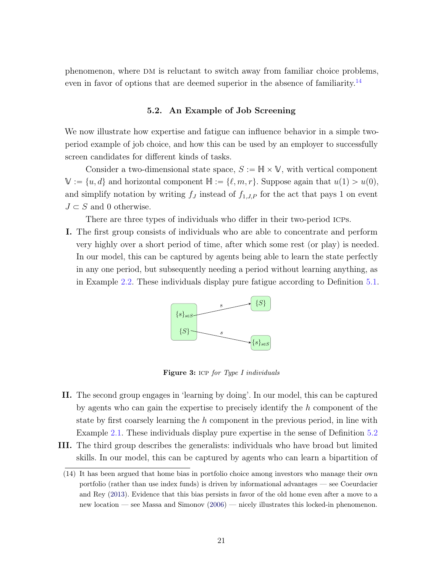<span id="page-20-3"></span>phenomenon, where DM is reluctant to switch away from familiar choice problems, even in favor of options that are deemed superior in the absence of familiarity.<sup>[14](#page-20-1)</sup>

#### 5.2. An Example of Job Screening

<span id="page-20-0"></span>We now illustrate how expertise and fatigue can influence behavior in a simple twoperiod example of job choice, and how this can be used by an employer to successfully screen candidates for different kinds of tasks.

Consider a two-dimensional state space,  $S := \mathbb{H} \times \mathbb{V}$ , with vertical component  $\mathbb{V} := \{u, d\}$  and horizontal component  $\mathbb{H} := \{\ell, m, r\}$ . Suppose again that  $u(1) > u(0)$ , and simplify notation by writing  $f_J$  instead of  $f_{1,J,P}$  for the act that pays 1 on event  $J \subset S$  and 0 otherwise.

There are three types of individuals who differ in their two-period ICPs.

I. The first group consists of individuals who are able to concentrate and perform very highly over a short period of time, after which some rest (or play) is needed. In our model, this can be captured by agents being able to learn the state perfectly in any one period, but subsequently needing a period without learning anything, as in Example [2.2.](#page-4-2) These individuals display pure fatigue according to Definition [5.1.](#page-17-1)



<span id="page-20-2"></span>Figure 3: ICP for Type I individuals

- II. The second group engages in 'learning by doing'. In our model, this can be captured by agents who can gain the expertise to precisely identify the h component of the state by first coarsely learning the h component in the previous period, in line with Example [2.1.](#page-4-3) These individuals display pure expertise in the sense of Definition [5.2](#page-18-0)
- III. The third group describes the generalists: individuals who have broad but limited skills. In our model, this can be captured by agents who can learn a bipartition of

<span id="page-20-1"></span><sup>(14)</sup> It has been argued that home bias in portfolio choice among investors who manage their own portfolio (rather than use index funds) is driven by informational advantages — see Coeurdacier and Rey [\(2013\)](#page-35-2). Evidence that this bias persists in favor of the old home even after a move to a new location — see Massa and Simonov [\(2006\)](#page-36-7) — nicely illustrates this locked-in phenomenon.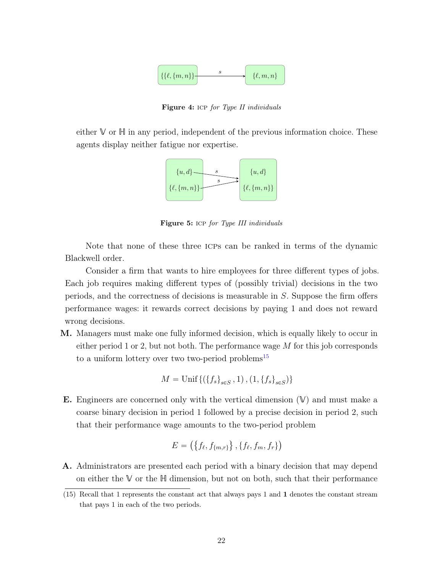

<span id="page-21-1"></span>Figure 4: ICP for Type II individuals

either  $V$  or  $H$  in any period, independent of the previous information choice. These agents display neither fatigue nor expertise.



<span id="page-21-2"></span>Figure 5: ICP for Type III individuals

Note that none of these three ICPs can be ranked in terms of the dynamic Blackwell order.

Consider a firm that wants to hire employees for three different types of jobs. Each job requires making different types of (possibly trivial) decisions in the two periods, and the correctness of decisions is measurable in S. Suppose the firm offers performance wages: it rewards correct decisions by paying 1 and does not reward wrong decisions.

M. Managers must make one fully informed decision, which is equally likely to occur in either period 1 or 2, but not both. The performance wage  $M$  for this job corresponds to a uniform lottery over two two-period problems<sup>[15](#page-21-0)</sup>

$$
M = \text{Unif}\left\{ (\{f_s\}_{s \in S}, 1), (1, \{f_s\}_{s \in S}) \right\}
$$

**E.** Engineers are concerned only with the vertical dimension  $(V)$  and must make a coarse binary decision in period 1 followed by a precise decision in period 2, such that their performance wage amounts to the two-period problem

$$
E = \left( \{ f_{\ell}, f_{\{m,r\}} \}, \{ f_{\ell}, f_m, f_r \} \right)
$$

A. Administrators are presented each period with a binary decision that may depend on either the  $\mathbb {V}$  or the  $\mathbb {H}$  dimension, but not on both, such that their performance

<span id="page-21-0"></span><sup>(15)</sup> Recall that 1 represents the constant act that always pays 1 and 1 denotes the constant stream that pays 1 in each of the two periods.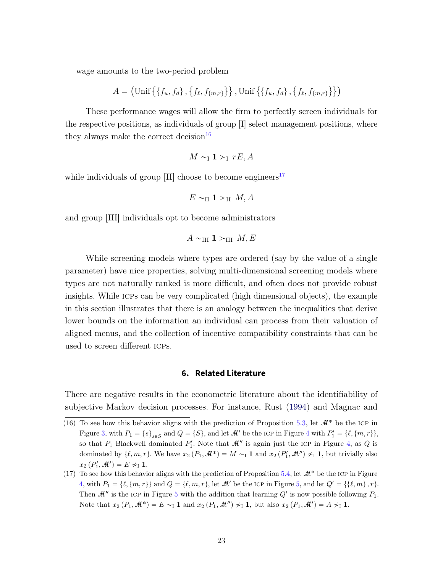<span id="page-22-3"></span>wage amounts to the two-period problem

$$
A = (\text{Unif} \left\{ \{f_u, f_d\}, \{f_{\ell}, f_{\{m,r\}}\} \right\}, \text{Unif} \left\{ \{f_u, f_d\}, \{f_{\ell}, f_{\{m,r\}}\} \right\})
$$

These performance wages will allow the firm to perfectly screen individuals for the respective positions, as individuals of group [I] select management positions, where they always make the correct decision  $16$ 

$$
M \sim_{\mathrm{I}} 1 >_{\mathrm{I}} rE, A
$$

while individuals of group  $[II]$  choose to become engineers<sup>[17](#page-22-2)</sup>

$$
E \sim_{\text{II}} 1 >_{\text{II}} M, A
$$

and group [III] individuals opt to become administrators

$$
A \sim_{\text{III}} 1 >_{\text{III}} M, E
$$

While screening models where types are ordered (say by the value of a single parameter) have nice properties, solving multi-dimensional screening models where types are not naturally ranked is more difficult, and often does not provide robust insights. While icps can be very complicated (high dimensional objects), the example in this section illustrates that there is an analogy between the inequalities that derive lower bounds on the information an individual can process from their valuation of aligned menus, and the collection of incentive compatibility constraints that can be used to screen different icps.

### **6. Related Literature**

<span id="page-22-0"></span>There are negative results in the econometric literature about the identifiability of subjective Markov decision processes. For instance, Rust [\(1994\)](#page-37-5) and Magnac and

<span id="page-22-1"></span><sup>(16)</sup> To see how this behavior aligns with the prediction of Proposition [5.3,](#page-19-0) let  $\mathcal{M}^*$  be the ICP in Figure [3,](#page-20-2) with  $P_1 = \{s\}_{s \in S}$  and  $Q = \{S\}$ , and let  $\mathcal{M}'$  be the ICP in Figure [4](#page-21-1) with  $P'_1 = \{\ell, \{m, r\}\},\$ so that  $P_1$  Blackwell dominated  $P'_1$ . Note that  $\mathcal{M}''$  is again just the ICP in Figure [4,](#page-21-1) as Q is dominated by  $\{\ell, m, r\}$ . We have  $x_2(P_1, M^*) = M \sim_I \mathbf{1}$  and  $x_2(P'_1, M'') \not\sim_I \mathbf{1}$ , but trivially also  $x_2(P'_1, M') = E \nsim_1 \mathbf{1}.$ 

<span id="page-22-2"></span><sup>(17)</sup> To see how this behavior aligns with the prediction of Proposition [5.4,](#page-19-1) let  $\mathcal{M}^*$  be the ICP in Figure [4,](#page-21-1) with  $P_1 = \{\ell, \{m, r\}\}\$ and  $Q = \{\ell, m, r\}$ , let  $M'$  be the ICP in Figure [5,](#page-21-2) and let  $Q' = \{\{\ell, m\}, r\}.$ Then  $\mathcal{M}''$  is the ICP in Figure [5](#page-21-2) with the addition that learning  $Q'$  is now possible following  $P_1$ . Note that  $x_2(P_1, M^*) = E \sim_I 1$  and  $x_2(P_1, M'') \nsim_I 1$ , but also  $x_2(P_1, M') = A \nsim_I 1$ .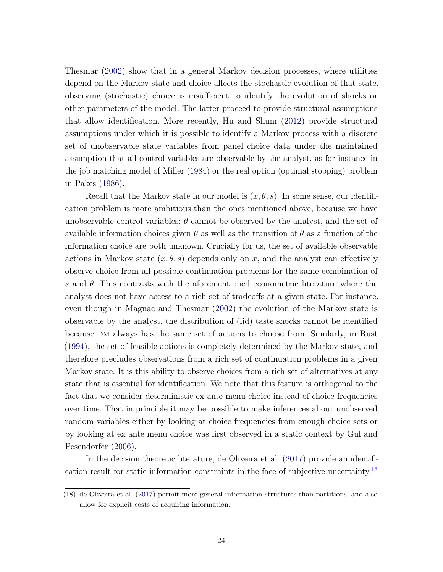<span id="page-23-1"></span>Thesmar [\(2002\)](#page-36-8) show that in a general Markov decision processes, where utilities depend on the Markov state and choice affects the stochastic evolution of that state, observing (stochastic) choice is insufficient to identify the evolution of shocks or other parameters of the model. The latter proceed to provide structural assumptions that allow identification. More recently, Hu and Shum [\(2012\)](#page-36-9) provide structural assumptions under which it is possible to identify a Markov process with a discrete set of unobservable state variables from panel choice data under the maintained assumption that all control variables are observable by the analyst, as for instance in the job matching model of Miller [\(1984\)](#page-37-6) or the real option (optimal stopping) problem in Pakes [\(1986\)](#page-37-7).

Recall that the Markov state in our model is  $(x, \theta, s)$ . In some sense, our identification problem is more ambitious than the ones mentioned above, because we have unobservable control variables:  $\theta$  cannot be observed by the analyst, and the set of available information choices given  $\theta$  as well as the transition of  $\theta$  as a function of the information choice are both unknown. Crucially for us, the set of available observable actions in Markov state  $(x, \theta, s)$  depends only on x, and the analyst can effectively observe choice from all possible continuation problems for the same combination of s and  $\theta$ . This contrasts with the aforementioned econometric literature where the analyst does not have access to a rich set of tradeoffs at a given state. For instance, even though in Magnac and Thesmar [\(2002\)](#page-36-8) the evolution of the Markov state is observable by the analyst, the distribution of (iid) taste shocks cannot be identified because dm always has the same set of actions to choose from. Similarly, in Rust [\(1994\)](#page-37-5), the set of feasible actions is completely determined by the Markov state, and therefore precludes observations from a rich set of continuation problems in a given Markov state. It is this ability to observe choices from a rich set of alternatives at any state that is essential for identification. We note that this feature is orthogonal to the fact that we consider deterministic ex ante menu choice instead of choice frequencies over time. That in principle it may be possible to make inferences about unobserved random variables either by looking at choice frequencies from enough choice sets or by looking at ex ante menu choice was first observed in a static context by Gul and Pesendorfer [\(2006\)](#page-36-10).

In the decision theoretic literature, de Oliveira et al. [\(2017\)](#page-35-3) provide an identification result for static information constraints in the face of subjective uncertainty.[18](#page-23-0)

<span id="page-23-0"></span><sup>(18)</sup> de Oliveira et al. [\(2017\)](#page-35-3) permit more general information structures than partitions, and also allow for explicit costs of acquiring information.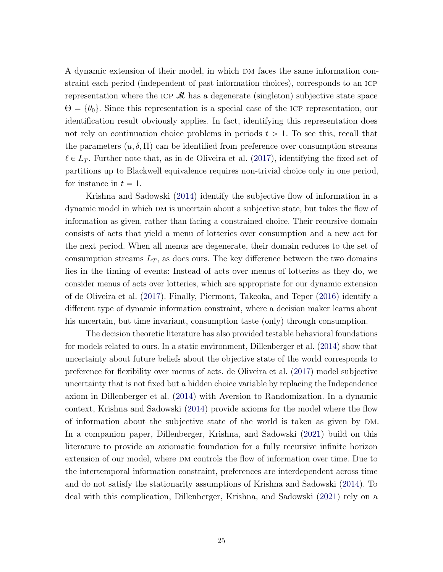<span id="page-24-0"></span>A dynamic extension of their model, in which DM faces the same information constraint each period (independent of past information choices), corresponds to an icp representation where the ICP  $\mathcal M$  has a degenerate (singleton) subjective state space  $\Theta = {\theta_0}$ . Since this representation is a special case of the ICP representation, our identification result obviously applies. In fact, identifying this representation does not rely on continuation choice problems in periods  $t > 1$ . To see this, recall that the parameters  $(u, \delta, \Pi)$  can be identified from preference over consumption streams  $\ell \in L_T$ . Further note that, as in de Oliveira et al. [\(2017\)](#page-35-3), identifying the fixed set of partitions up to Blackwell equivalence requires non-trivial choice only in one period, for instance in  $t = 1$ .

Krishna and Sadowski [\(2014\)](#page-36-4) identify the subjective flow of information in a dynamic model in which DM is uncertain about a subjective state, but takes the flow of information as given, rather than facing a constrained choice. Their recursive domain consists of acts that yield a menu of lotteries over consumption and a new act for the next period. When all menus are degenerate, their domain reduces to the set of consumption streams  $L_T$ , as does ours. The key difference between the two domains lies in the timing of events: Instead of acts over menus of lotteries as they do, we consider menus of acts over lotteries, which are appropriate for our dynamic extension of de Oliveira et al. [\(2017\)](#page-35-3). Finally, Piermont, Takeoka, and Teper [\(2016\)](#page-37-8) identify a different type of dynamic information constraint, where a decision maker learns about his uncertain, but time invariant, consumption taste (only) through consumption.

The decision theoretic literature has also provided testable behavioral foundations for models related to ours. In a static environment, Dillenberger et al. [\(2014\)](#page-36-11) show that uncertainty about future beliefs about the objective state of the world corresponds to preference for flexibility over menus of acts. de Oliveira et al. [\(2017\)](#page-35-3) model subjective uncertainty that is not fixed but a hidden choice variable by replacing the Independence axiom in Dillenberger et al. [\(2014\)](#page-36-11) with Aversion to Randomization. In a dynamic context, Krishna and Sadowski [\(2014\)](#page-36-4) provide axioms for the model where the flow of information about the subjective state of the world is taken as given by DM. In a companion paper, Dillenberger, Krishna, and Sadowski [\(2021\)](#page-35-4) build on this literature to provide an axiomatic foundation for a fully recursive infinite horizon extension of our model, where DM controls the flow of information over time. Due to the intertemporal information constraint, preferences are interdependent across time and do not satisfy the stationarity assumptions of Krishna and Sadowski [\(2014\)](#page-36-4). To deal with this complication, Dillenberger, Krishna, and Sadowski [\(2021\)](#page-35-4) rely on a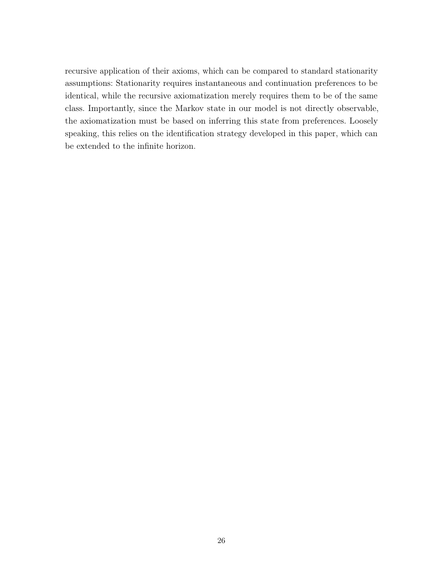recursive application of their axioms, which can be compared to standard stationarity assumptions: Stationarity requires instantaneous and continuation preferences to be identical, while the recursive axiomatization merely requires them to be of the same class. Importantly, since the Markov state in our model is not directly observable, the axiomatization must be based on inferring this state from preferences. Loosely speaking, this relies on the identification strategy developed in this paper, which can be extended to the infinite horizon.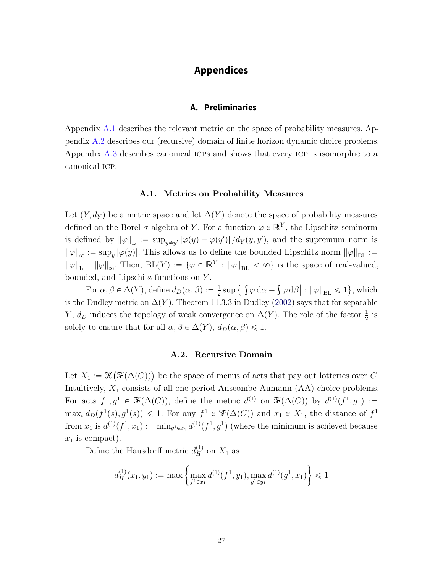# **Appendices**

## **A. Preliminaries**

<span id="page-26-2"></span>Appendix [A.1](#page-26-0) describes the relevant metric on the space of probability measures. Appendix [A.2](#page-26-1) describes our (recursive) domain of finite horizon dynamic choice problems. Appendix [A.3](#page-27-0) describes canonical ICPs and shows that every ICP is isomorphic to a canonical icp.

#### A.1. Metrics on Probability Measures

<span id="page-26-0"></span>Let  $(Y, d_Y)$  be a metric space and let  $\Delta(Y)$  denote the space of probability measures defined on the Borel  $\sigma$ -algebra of Y. For a function  $\varphi \in \mathbb{R}^Y$ , the Lipschitz seminorm is defined by  $\|\varphi\|_{\mathcal{L}} := \sup_{y\neq y'} |\varphi(y) - \varphi(y')| / d_Y(y, y')$ , and the supremum norm is  $\|\varphi\|_{\infty} := \sup_y |\varphi(y)|$ . This allows us to define the bounded Lipschitz norm  $\|\varphi\|_{BL} :=$  $\|\varphi\|_{L} + \|\varphi\|_{\infty}$ . Then,  $BL(Y) := \{\varphi \in \mathbb{R}^{Y} : \|\varphi\|_{BL} < \infty\}$  is the space of real-valued, bounded, and Lipschitz functions on Y . (

For  $\alpha, \beta \in \Delta(Y)$ , define  $d_D(\alpha, \beta) := \frac{1}{2}$  $\frac{1}{2}$  sup  $\{$  $\varphi\,\mathrm{d}\alpha\ \varphi \, d\beta \big| : \|\varphi\|_{\text{BL}} \leqslant 1$ , which is the Dudley metric on  $\Delta(Y)$ . Theorem 11.3.3 in Dudley [\(2002\)](#page-36-12) says that for separable Y,  $d_D$  induces the topology of weak convergence on  $\Delta(Y)$ . The role of the factor  $\frac{1}{2}$  is solely to ensure that for all  $\alpha, \beta \in \Delta(Y)$ ,  $d_D(\alpha, \beta) \leq 1$ .

#### A.2. Recursive Domain

<span id="page-26-1"></span>Let  $X_1 := \mathcal{K}$  $\big(\mathcal{F}(\Delta(C))\big)$  be the space of menus of acts that pay out lotteries over C. Intuitively,  $X_1$  consists of all one-period Anscombe-Aumann  $(AA)$  choice problems. For acts  $f^1, g^1 \in \mathcal{F}(\Delta(C))$ , define the metric  $d^{(1)}$  on  $\mathcal{F}(\Delta(C))$  by  $d^{(1)}(f^1, g^1) :=$  $\max_s d_D(f^1(s), g^1(s)) \leq 1$ . For any  $f^1 \in \mathcal{F}(\Delta(C))$  and  $x_1 \in X_1$ , the distance of  $f^1$ from  $x_1$  is  $d^{(1)}(f^1, x_1) := \min_{g^1 \in x_1} d^{(1)}(f^1, g^1)$  (where the minimum is achieved because  $x_1$  is compact).

Define the Hausdorff metric  $d_H^{(1)}$  on  $X_1$  as

$$
d_H^{(1)}(x_1, y_1) := \max \left\{ \max_{f^1 \in x_1} d^{(1)}(f^1, y_1), \max_{g^1 \in y_1} d^{(1)}(g^1, x_1) \right\} \leq 1
$$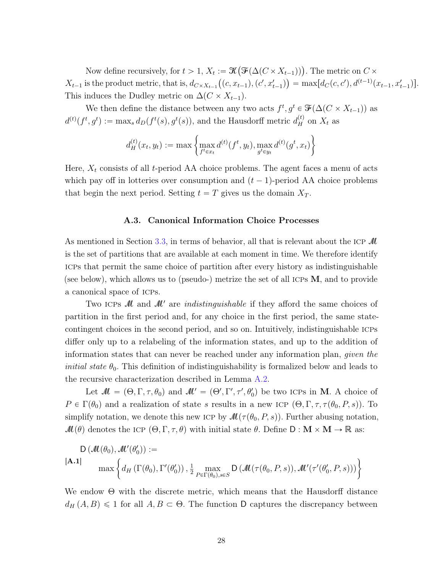Now define recursively, for  $t > 1$ ,  $X_t := \mathcal{K}(\mathcal{F}(\Delta(C \times X_{t-1})))$ . The metric on  $C \times$  $X_{t-1}$  is the product metric, that is,  $d_{C \times X_{t-1}}((c, x_{t-1}), (c', x'_{t-1})) = \max[d_C(c, c'), d^{(t-1)}(x_{t-1}, x'_{t-1})].$ This induces the Dudley metric on  $\Delta(C \times X_{t-1})$ .

We then define the distance between any two acts  $f^t, g^t \in \mathcal{F}(\Delta(C \times X_{t-1}))$  as  $d^{(t)}(f^t, g^t) := \max_s d_D(f^t(s), g^t(s))$ , and the Hausdorff metric  $d_H^{(t)}$  on  $X_t$  as \*

$$
d_H^{(t)}(x_t, y_t) := \max \left\{ \max_{f^t \in x_t} d^{(t)}(f^t, y_t), \max_{g^t \in y_t} d^{(t)}(g^t, x_t) \right\}
$$

Here,  $X_t$  consists of all t-period AA choice problems. The agent faces a menu of acts which pay off in lotteries over consumption and  $(t - 1)$ -period AA choice problems that begin the next period. Setting  $t = T$  gives us the domain  $X_T$ .

#### A.3. Canonical Information Choice Processes

<span id="page-27-0"></span>As mentioned in Section [3.3,](#page-9-2) in terms of behavior, all that is relevant about the ICP  $\mathcal M$ is the set of partitions that are available at each moment in time. We therefore identify icps that permit the same choice of partition after every history as indistinguishable (see below), which allows us to (pseudo-) metrize the set of all ICPs  $M$ , and to provide a canonical space of icps.

Two ICPs M and M' are *indistinguishable* if they afford the same choices of partition in the first period and, for any choice in the first period, the same statecontingent choices in the second period, and so on. Intuitively, indistinguishable icps differ only up to a relabeling of the information states, and up to the addition of information states that can never be reached under any information plan, given the *initial state*  $\theta_0$ . This definition of indistinguishability is formalized below and leads to the recursive characterization described in Lemma [A.2.](#page-28-0)

Let  $\mathcal{M} = (\Theta, \Gamma, \tau, \theta_0)$  and  $\mathcal{M}' = (\Theta', \Gamma', \tau', \theta'_0)$  be two ICPs in M. A choice of  $P \in \Gamma(\theta_0)$  and a realization of state s results in a new ICP  $(\Theta, \Gamma, \tau, \tau(\theta_0, P, s))$ . To simplify notation, we denote this new ICP by  $\mathcal{M}(\tau(\theta_0, P, s))$ . Further abusing notation,  $M(\theta)$  denotes the ICP  $(\Theta, \Gamma, \tau, \theta)$  with initial state  $\theta$ . Define  $D : M \times M \to \mathbb{R}$  as:

<span id="page-27-1"></span>
$$
D(\mathcal{M}(\theta_0), \mathcal{M}'(\theta'_0)) :=
$$
  
\n[**A.1**] max  $\left\{ d_H(\Gamma(\theta_0), \Gamma'(\theta'_0)), \frac{1}{2} \max_{P \in \Gamma(\theta_0), s \in S} D(\mathcal{M}(\tau(\theta_0, P, s)), \mathcal{M}'(\tau'(\theta'_0, P, s))) \right\}$ 

We endow  $\Theta$  with the discrete metric, which means that the Hausdorff distance  $d_H(A, B) \leq 1$  for all  $A, B \subset \Theta$ . The function D captures the discrepancy between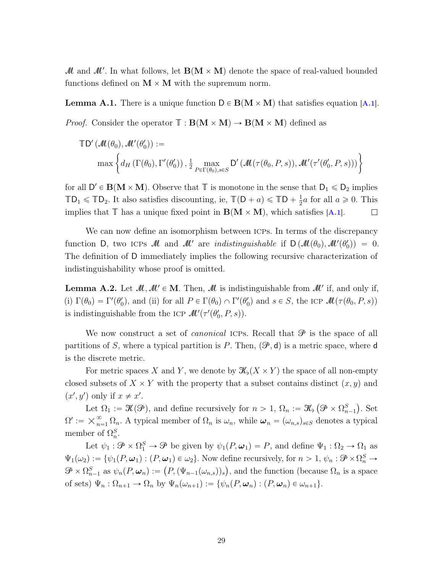$\mathcal{M}$  and  $\mathcal{M}'$ . In what follows, let  $\mathbf{B}(\mathbf{M} \times \mathbf{M})$  denote the space of real-valued bounded functions defined on  $M \times M$  with the supremum norm.

**Lemma [A.1](#page-27-1).** There is a unique function  $D \in B(M \times M)$  that satisfies equation [A.1]. *Proof.* Consider the operator  $\mathbb{T} : B(M \times M) \to B(M \times M)$  defined as

$$
\mathbb{T}\mathsf{D}'\left(\mathcal{M}(\theta_0),\mathcal{M}'(\theta'_0)\right) :=
$$
  

$$
\max\left\{d_H\left(\Gamma(\theta_0),\Gamma'(\theta'_0)\right),\frac{1}{2}\max_{P\in\Gamma(\theta_0),s\in S}\mathsf{D}'\left(\mathcal{M}(\tau(\theta_0,P,s)),\mathcal{M}'(\tau'(\theta'_0,P,s))\right)\right\}
$$

for all  $D' \in B(M \times M)$ . Observe that  $\mathbb{T}$  is monotone in the sense that  $D_1 \leq D_2$  implies  $\mathbb{TD}_1 \leq \mathbb{TD}_2$ . It also satisfies discounting, ie,  $\mathbb{T}(D + a) \leq \mathbb{TD} + \frac{1}{2}$  $\frac{1}{2}a$  for all  $a \ge 0$ . This implies that  $\mathbb T$  has a unique fixed point in  $\mathbf B(\mathbf M\times \mathbf M)$ , which satisfies [[A.1](#page-27-1)].  $\Box$ 

We can now define an isomorphism between ICPs. In terms of the discrepancy function D, two ICPs  $\mathcal M$  and  $\mathcal M'$  are *indistinguishable* if  $D(\mathcal M(\theta_0),\mathcal M'(\theta'_0)) = 0$ . The definition of D immediately implies the following recursive characterization of indistinguishability whose proof is omitted.

<span id="page-28-0"></span>**Lemma A.2.** Let  $\mathcal{M}, \mathcal{M}' \in \mathbf{M}$ . Then,  $\mathcal{M}$  is indistinguishable from  $\mathcal{M}'$  if, and only if, (i)  $\Gamma(\theta_0) = \Gamma'(\theta'_0)$ , and (ii) for all  $P \in \Gamma(\theta_0) \cap \Gamma'(\theta'_0)$  and  $s \in S$ , the ICP  $\mathcal{M}(\tau(\theta_0, P, s))$ is indistinguishable from the ICP  $\mathcal{M}'(\tau'(\theta'_{0}, P, s)).$ 

We now construct a set of *canonical* ICPs. Recall that  $\mathcal{P}$  is the space of all partitions of S, where a typical partition is P. Then,  $(\mathcal{P}, d)$  is a metric space, where d is the discrete metric.

For metric spaces X and Y, we denote by  $\mathcal{K}_{\mathfrak{b}}(X \times Y)$  the space of all non-empty closed subsets of  $X \times Y$  with the property that a subset contains distinct  $(x, y)$  and  $(x', y')$  only if  $x \neq x'$ .

Let  $\Omega_1 := \mathcal{K}(\mathcal{P})$ , and define recursively for  $n > 1$ ,  $\Omega_n := \mathcal{K}_\flat$  $\mathfrak{P}\times\Omega_{n-1}^{S}$ . Set  $\Omega':=\raisebox{.5ex}{\textstyle \times_{n_\circ}^\infty}$  $\sum_{n=1}^{\infty} \Omega_n$ . A typical member of  $\Omega_n$  is  $\omega_n$ , while  $\omega_n = (\omega_{n,s})_{s \in S}$  denotes a typical member of  $\Omega_n^S$ .

Let  $\psi_1 : \mathcal{P} \times \Omega_1^S \to \mathcal{P}$  be given by  $\psi_1(P, \omega_1) = P$ , and define  $\Psi_1 : \Omega_2 \to \Omega_1$  as  $\Psi_1(\omega_2) := \{ \psi_1(P, \omega_1) : (P, \omega_1) \in \omega_2 \}.$  Now define recursively, for  $n > 1$ ,  $\psi_n : \mathcal{P} \times \Omega_n^S \to$  $\mathcal{P} \times \Omega_{n-1}^S$  as  $\psi_n(P, \omega_n) := (P, (\Psi_{n-1}(\omega_{n,s}))_s)$ , and the function (because  $\Omega_n$  is a space of sets)  $\Psi_n : \Omega_{n+1} \to \Omega_n$  by  $\Psi_n(\omega_{n+1}) := \{ \psi_n(P, \omega_n) : (P, \omega_n) \in \omega_{n+1} \}.$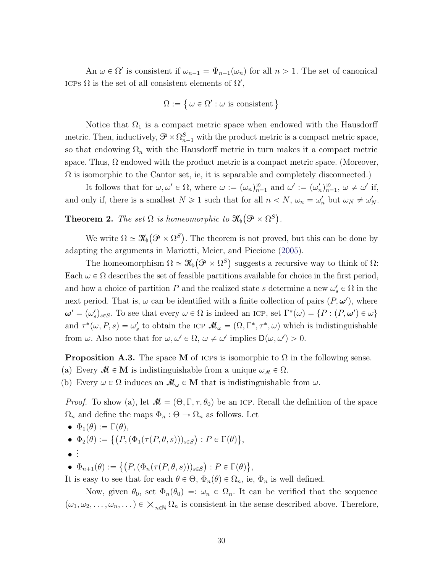<span id="page-29-0"></span>An  $\omega \in \Omega'$  is consistent if  $\omega_{n-1} = \Psi_{n-1}(\omega_n)$  for all  $n > 1$ . The set of canonical ICPs  $\Omega$  is the set of all consistent elements of  $\Omega'$ ,

$$
\Omega := \{ \omega \in \Omega' : \omega \text{ is consistent} \}
$$

Notice that  $\Omega_1$  is a compact metric space when endowed with the Hausdorff metric. Then, inductively,  $\mathcal{P} \times \Omega_{n-1}^S$  with the product metric is a compact metric space, so that endowing  $\Omega_n$  with the Hausdorff metric in turn makes it a compact metric space. Thus,  $\Omega$  endowed with the product metric is a compact metric space. (Moreover,  $\Omega$  is isomorphic to the Cantor set, ie, it is separable and completely disconnected.)

It follows that for  $\omega, \omega' \in \Omega$ , where  $\omega := (\omega_n)_{n=1}^{\infty}$  and  $\omega' := (\omega'_n)_{n=1}^{\infty}$ ,  $\omega \neq \omega'$  if, and only if, there is a smallest  $N \geq 1$  such that for all  $n < N$ ,  $\omega_n = \omega'_n$  but  $\omega_N \neq \omega'_N$ .

**Theorem 2.** The set  $\Omega$  is homeomorphic to  $\mathfrak{K}_{\mathfrak{b}}(\mathfrak{P} \times \Omega^S)$ .

We write  $\Omega \simeq \mathcal{K}_{\flat}$  $\mathcal{P} \times \Omega^S$ . The theorem is not proved, but this can be done by adapting the arguments in Mariotti, Meier, and Piccione [\(2005\)](#page-36-13).

The homeomorphism  $\Omega \simeq \mathcal{K}_{\flat}(\mathcal{P} \times \Omega^S)$  suggests a recursive way to think of  $\Omega$ : Each  $\omega \in \Omega$  describes the set of feasible partitions available for choice in the first period, and how a choice of partition P and the realized state s determine a new  $\omega_s' \in \Omega$  in the next period. That is,  $\omega$  can be identified with a finite collection of pairs  $(P, \omega')$ , where  $\boldsymbol{\omega}' = (\omega'_s)_{s \in S}$ . To see that every  $\omega \in \Omega$  is indeed an ICP, set  $\Gamma^*(\omega) = \{P : (P, \boldsymbol{\omega}') \in \omega\}$ and  $\tau^*(\omega, P, s) = \omega'_s$  to obtain the ICP  $\mathcal{M}_{\omega} = (\Omega, \Gamma^*, \tau^*, \omega)$  which is indistinguishable from  $\omega$ . Also note that for  $\omega, \omega' \in \Omega$ ,  $\omega \neq \omega'$  implies  $D(\omega, \omega') > 0$ .

**Proposition A.3.** The space M of ICPs is isomorphic to  $\Omega$  in the following sense.

- (a) Every  $M \in M$  is indistinguishable from a unique  $\omega_M \in \Omega$ .
- (b) Every  $\omega \in \Omega$  induces an  $\mathcal{M}_{\omega} \in \mathbf{M}$  that is indistinguishable from  $\omega$ .

*Proof.* To show (a), let  $\mathcal{M} = (\Theta, \Gamma, \tau, \theta_0)$  be an ICP. Recall the definition of the space  $\Omega_n$  and define the maps  $\Phi_n : \Theta \to \Omega_n$  as follows. Let

- $\Phi_1(\theta) := \Gamma(\theta),$
- $\bullet\ \Phi_2(\theta) := \big\{ \big(P, (\Phi_1(\tau(P, \theta, s)))_{s\in S}$ :  $P \in \Gamma(\theta)$ **(A)** ,
- $\bullet$  :

 $\bullet$   $\Phi_{n+1}(\theta) :=$  $\frac{1}{2}$  $P, (\Phi_n(\tau(P, \theta, s)))_{s \in S}$ :  $P \in \Gamma(\theta)$ ( ,

It is easy to see that for each  $\theta \in \Theta$ ,  $\Phi_n(\theta) \in \Omega_n$ , ie,  $\Phi_n$  is well defined.

Now, given  $\theta_0$ , set  $\Phi_n(\theta_0) =: \omega_n \in \Omega_n$ . It can be verified that the sequence Now, given  $v_0$ , set  $\varPsi_n(v_0) = \vartheta_n \in \Omega_n$ . It can be verified that the sequence  $(\omega_1, \omega_2, \dots, \omega_n, \dots) \in \mathsf{X}_{n \in \mathbb{N}} \Omega_n$  is consistent in the sense described above. Therefore,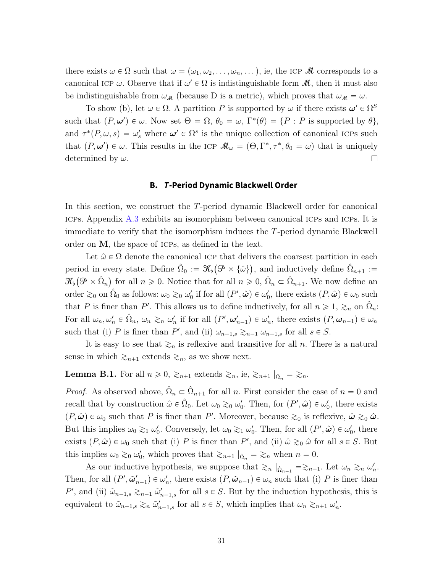there exists  $\omega \in \Omega$  such that  $\omega = (\omega_1, \omega_2, \ldots, \omega_n, \ldots)$ , ie, the ICP M corresponds to a canonical ICP  $\omega$ . Observe that if  $\omega' \in \Omega$  is indistinguishable form  $\mathcal{M}$ , then it must also be indistinguishable from  $\omega_{\mathcal{M}}$  (because D is a metric), which proves that  $\omega_{\mathcal{M}} = \omega$ .

To show (b), let  $\omega \in \Omega$ . A partition P is supported by  $\omega$  if there exists  $\omega' \in \Omega^S$ such that  $(P, \omega') \in \omega$ . Now set  $\Theta = \Omega$ ,  $\theta_0 = \omega$ ,  $\Gamma^*(\theta) = \{P : P \text{ is supported by } \theta\}$ , and  $\tau^*(P,\omega,s) = \omega_s'$  where  $\omega' \in \Omega^s$  is the unique collection of canonical ICPs such that  $(P, \omega') \in \omega$ . This results in the ICP  $\mathcal{M}_{\omega} = (\Theta, \Gamma^*, \tau^*, \theta_0 = \omega)$  that is uniquely determined by  $\omega$ .  $\Box$ 

#### **B. T-Period Dynamic Blackwell Order**

In this section, we construct the T-period dynamic Blackwell order for canonical icps. Appendix [A.3](#page-27-0) exhibits an isomorphism between canonical icps and icps. It is immediate to verify that the isomorphism induces the T-period dynamic Blackwell order on M, the space of icps, as defined in the text.

Let  $\hat{\omega} \in \Omega$  denote the canonical ICP that delivers the coarsest partition in each period in every state. Define  $\hat{\Omega}_0 := \mathcal{K}_{\mathfrak{b}}(\mathcal{P} \times {\hat{\omega}})$ , and inductively define  $\hat{\Omega}_{n+1} :=$  $\mathscr{K}_{\flat}(\mathscr{P} \times \hat{\Omega}_n)$  for all  $n \geqslant 0$ . Notice that for all  $n \geqslant 0$ ,  $\hat{\Omega}_n \subset \hat{\Omega}_{n+1}$ . We now define an order  $\gtrsim_0$  on  $\hat{\Omega}_0$  as follows:  $\omega_0 \gtrsim_0 \omega'_0$  if for all  $(P', \hat{\boldsymbol{\omega}}) \in \omega'_0$ , there exists  $(P, \hat{\boldsymbol{\omega}}) \in \omega_0$  such that P is finer than P'. This allows us to define inductively, for all  $n \geq 1$ ,  $\geq_n$  on  $\hat{\Omega}_n$ : For all  $\omega_n, \omega'_n \in \hat{\Omega}_n$ ,  $\omega_n \gtrsim_n \omega'_n$  if for all  $(P', \omega'_{n-1}) \in \omega'_n$ , there exists  $(P, \omega_{n-1}) \in \omega_n$ such that (i) P is finer than P', and (ii)  $\omega_{n-1,s} \gtrsim_{n-1} \omega_{n-1,s}$  for all  $s \in S$ .

It is easy to see that  $\geq_n$  is reflexive and transitive for all n. There is a natural sense in which  $\geq_{n+1}$  extends  $\geq_n$ , as we show next.

<span id="page-30-0"></span>**Lemma B.1.** For all  $n \geq 0$ ,  $\geq_{n+1}$  extends  $\geq_n$ , ie,  $\geq_{n+1} |_{\hat{\Omega}_n} = \geq_n$ .

*Proof.* As observed above,  $\hat{\Omega}_n \subset \hat{\Omega}_{n+1}$  for all n. First consider the case of  $n = 0$  and recall that by construction  $\hat{\omega} \in \hat{\Omega}_0$ . Let  $\omega_0 \gtrsim_0 \omega'_0$ . Then, for  $(P', \hat{\omega}) \in \omega'_0$ , there exists  $(P, \hat{\omega}) \in \omega_0$  such that P is finer than P'. Moreover, because  $\gtrsim_0$  is reflexive,  $\hat{\omega} \gtrsim_0 \hat{\omega}$ . But this implies  $\omega_0 \gtrsim_1 \omega'_0$ . Conversely, let  $\omega_0 \gtrsim_1 \omega'_0$ . Then, for all  $(P', \hat{\boldsymbol{\omega}}) \in \omega'_0$ , there exists  $(P, \hat{\boldsymbol{\omega}}) \in \omega_0$  such that (i) P is finer than P', and (ii)  $\hat{\omega} \gtrsim_0 \hat{\omega}$  for all  $s \in S$ . But this implies  $\omega_0 \gtrsim_0 \omega'_0$ , which proves that  $\gtrsim_{n+1} \hat{a}_n = \gtrsim_n$  when  $n = 0$ .

As our inductive hypothesis, we suppose that  $\gtrsim_n |_{\hat{\Omega}_{n-1}} = \gtrsim_{n-1}$ . Let  $\omega_n \gtrsim_n \omega'_n$ . Then, for all  $(P', \tilde{\omega}'_{n-1}) \in \omega'_n$ , there exists  $(P, \tilde{\omega}_{n-1}) \in \omega_n$  such that (i) P is finer than P', and (ii)  $\tilde{\omega}_{n-1,s} \gtrsim_{n-1} \tilde{\omega}'_{n-1,s}$  for all  $s \in S$ . But by the induction hypothesis, this is equivalent to  $\tilde{\omega}_{n-1,s} \gtrsim_n \tilde{\omega}'_{n-1,s}$  for all  $s \in S$ , which implies that  $\omega_n \gtrsim_{n+1} \omega'_n$ .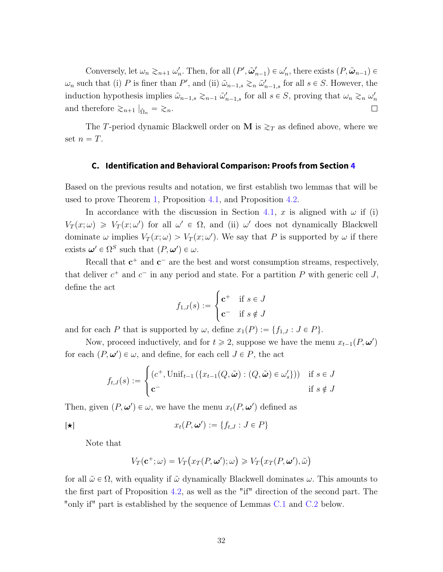Conversely, let  $\omega_n \gtrsim_{n+1} \omega'_n$ . Then, for all  $(P', \tilde{\omega}'_{n-1}) \in \omega'_n$ , there exists  $(P, \tilde{\omega}_{n-1}) \in$  $\omega_n$  such that (i) P is finer than P', and (ii)  $\tilde{\omega}_{n-1,s} \gtrsim_n \tilde{\omega}'_{n-1,s}$  for all  $s \in S$ . However, the induction hypothesis implies  $\tilde{\omega}_{n-1,s} \gtrsim_{n-1} \tilde{\omega}'_{n-1,s}$  for all  $s \in S$ , proving that  $\omega_n \gtrsim_n \omega'_n$  $\Box$ and therefore  $\gtrsim_{n+1} |_{\hat{\Omega}_n} = \gtrsim_n$ .

The T-period dynamic Blackwell order on M is  $\gtrsim_T$  as defined above, where we set  $n = T$ .

### <span id="page-31-0"></span>**C. Identification and Behavioral Comparison: Proofs from Section [4](#page-11-1)**

Based on the previous results and notation, we first establish two lemmas that will be used to prove Theorem [1,](#page-11-0) Proposition [4.1,](#page-12-2) and Proposition [4.2.](#page-16-0)

In accordance with the discussion in Section [4.1,](#page-13-0) x is aligned with  $\omega$  if (i)  $V_T(x; \omega) \geq V_T(x; \omega')$  for all  $\omega' \in \Omega$ , and (ii)  $\omega'$  does not dynamically Blackwell dominate  $\omega$  implies  $V_T(x; \omega) > V_T(x; \omega')$ . We say that P is supported by  $\omega$  if there exists  $\boldsymbol{\omega}' \in \Omega^S$  such that  $(P, \boldsymbol{\omega}') \in \omega$ .

Recall that  $c^+$  and  $c^-$  are the best and worst consumption streams, respectively, that deliver  $c^+$  and  $c^-$  in any period and state. For a partition P with generic cell J, define the act

$$
f_{1,J}(s) := \begin{cases} \mathbf{c}^+ & \text{if } s \in J \\ \mathbf{c}^- & \text{if } s \notin J \end{cases}
$$

and for each P that is supported by  $\omega$ , define  $x_1(P) := \{f_{1,J} : J \in P\}.$ 

Now, proceed inductively, and for  $t \ge 2$ , suppose we have the menu  $x_{t-1}(P, \omega')$ for each  $(P, \omega') \in \omega$ , and define, for each cell  $J \in P$ , the act ...<br>..

$$
f_{t,J}(s) := \begin{cases} (c^+, \text{Unif}_{t-1}(\{x_{t-1}(Q, \tilde{\boldsymbol{\omega}}) : (Q, \tilde{\boldsymbol{\omega}}) \in \omega'_s \})) & \text{if } s \in J \\ c^- & \text{if } s \notin J \end{cases}
$$

Then, given  $(P, \omega') \in \omega$ , we have the menu  $x_t(P, \omega')$  defined as

<span id="page-31-1"></span>
$$
[ \star ] \qquad \qquad x_t(P, \omega') := \{ f_{t,J} : J \in P \}
$$

Note that

$$
V_T(\mathbf{c}^+;\omega) = V_T\big(x_T(P,\boldsymbol{\omega}');\omega\big) \geq V_T\big(x_T(P,\boldsymbol{\omega}'),\tilde{\omega}\big)
$$

for all  $\tilde{\omega} \in \Omega$ , with equality if  $\tilde{\omega}$  dynamically Blackwell dominates  $\omega$ . This amounts to the first part of Proposition [4.2,](#page-16-0) as well as the "if" direction of the second part. The "only if" part is established by the sequence of Lemmas [C.1](#page-32-0) and [C.2](#page-32-1) below.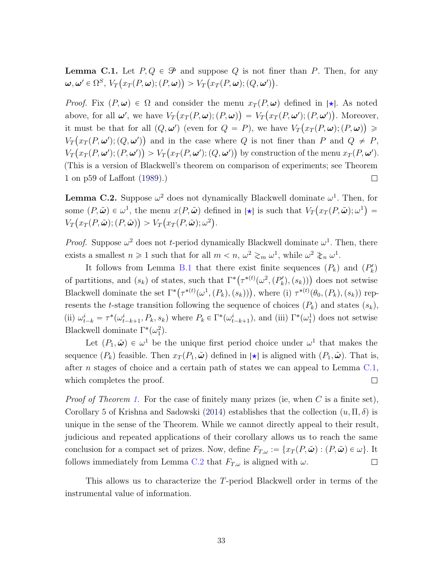<span id="page-32-2"></span><span id="page-32-0"></span>**Lemma C.1.** Let  $P, Q \in \mathcal{P}$  and suppose Q is not finer than P. Then, for any  $\boldsymbol{\omega}, \boldsymbol{\omega}' \in \Omega^S, \, V_T\bigl(x_T(P,\boldsymbol{\omega});(P,\boldsymbol{\omega})\bigr) > V_T\bigl(x_T(P,\boldsymbol{\omega});(Q,\boldsymbol{\omega}')\bigr).$ 

*Proof.* Fix  $(P, \omega) \in \Omega$  and consider the menu  $x_T(P, \omega)$  defined in [ $\star$ ]. As noted above, for all  $\omega'$ , we have  $V_T(x_T(P, \omega); (P, \omega)) = V_T(x_T(P, \omega'); (P, \omega'))$ . Moreover, it must be that for all  $(Q, \omega')$  (even for  $Q = P$ ), we have  $V_T(x_T(P, \omega); (P, \omega)) \ge$  $V_T(x_T(P, \omega'); (Q, \omega'))$  and in the case where Q is not finer than P and  $Q \neq P$ ,  $V_T(x_T(P, \omega'); (P, \omega')) > V_T(x_T(P, \omega'); (Q, \omega'))$  by construction of the menu  $x_T(P, \omega').$ (This is a version of Blackwell's theorem on comparison of experiments; see Theorem 1 on p59 of Laffont [\(1989\)](#page-36-14).)  $\Box$ 

<span id="page-32-1"></span>**Lemma C.2.** Suppose  $\omega^2$  does not dynamically Blackwell dominate  $\omega^1$ . Then, for some  $(P, \tilde{\boldsymbol{\omega}}) \in \omega^1$ , the menu  $x(P, \tilde{\boldsymbol{\omega}})$  defined in  $[\star]$  is such that  $V_T(x_T(P, \tilde{\boldsymbol{\omega}}); \omega^1) =$  $V_T(x_T(P,\tilde{\boldsymbol{\omega}});(P,\tilde{\boldsymbol{\omega}})) > V_T(x_T(P,\tilde{\boldsymbol{\omega}}); \omega^2).$ 

*Proof.* Suppose  $\omega^2$  does not t-period dynamically Blackwell dominate  $\omega^1$ . Then, there exists a smallest  $n \geq 1$  such that for all  $m < n$ ,  $\omega^2 \gtrsim_m \omega^1$ , while  $\omega^2 \gtrsim_n \omega^1$ .

It follows from Lemma [B.1](#page-30-0) that there exist finite sequences  $(P_k)$  and  $(P'_k)$ It follows from Lemma B.1 that there exist finite sequences  $(P_k)$  and  $(P_k)$ <br>of partitions, and  $(s_k)$  of states, such that  $\Gamma^*(\tau^{*(t)}(\omega^2, (P'_k), (s_k)))$  does not setwise or partitions, and  $(s_k)$  or states, such that  $\Gamma(\tau^{(1)}(\omega, (P_k), (s_k)))$  does not setwise<br>Blackwell dominate the set  $\Gamma^*(\tau^{*(t)}(\omega^1, (P_k), (s_k)))$ , where (i)  $\tau^{*(t)}(\theta_0, (P_k), (s_k))$  represents the t-stage transition following the sequence of choices  $(P_k)$  and states  $(s_k)$ , (ii)  $\omega_{t-k}^i = \tau^*(\omega_{t-k+1}^i, P_k, s_k)$  where  $P_k \in \Gamma^*(\omega_{t-k+1}^i)$ , and (iii)  $\Gamma^*(\omega_1^1)$  does not setwise Blackwell dominate  $\Gamma^*(\omega_1^2)$ .

Let  $(P_1, \tilde{\omega}) \in \omega^1$  be the unique first period choice under  $\omega^1$  that makes the sequence  $(P_k)$  feasible. Then  $x_T(P_1, \tilde{\omega})$  defined in  $|\star|$  is aligned with  $(P_1, \tilde{\omega})$ . That is, after n stages of choice and a certain path of states we can appeal to Lemma  $C.1$ , which completes the proof.  $\Box$ 

*Proof of Theorem [1.](#page-11-0)* For the case of finitely many prizes (ie, when C is a finite set), Corollary 5 of Krishna and Sadowski [\(2014\)](#page-36-4) establishes that the collection  $(u, \Pi, \delta)$  is unique in the sense of the Theorem. While we cannot directly appeal to their result, judicious and repeated applications of their corollary allows us to reach the same conclusion for a compact set of prizes. Now, define  $F_{T,\omega} := \{x_T(P,\tilde{\omega}) : (P,\tilde{\omega}) \in \omega\}$ . It follows immediately from Lemma [C.2](#page-32-1) that  $F_{T,\omega}$  is aligned with  $\omega$ .  $\Box$ 

This allows us to characterize the T-period Blackwell order in terms of the instrumental value of information.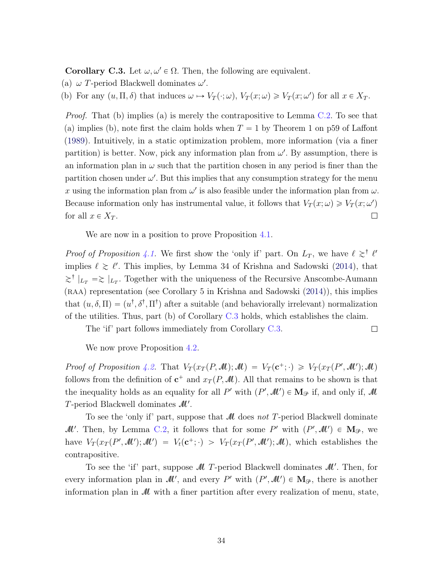<span id="page-33-1"></span><span id="page-33-0"></span>**Corollary C.3.** Let  $\omega, \omega' \in \Omega$ . Then, the following are equivalent.

- (a)  $\omega$  T-period Blackwell dominates  $\omega'$ .
- (b) For any  $(u, \Pi, \delta)$  that induces  $\omega \mapsto V_T(\cdot; \omega), V_T(x; \omega) \geq V_T(x; \omega')$  for all  $x \in X_T$ .

*Proof.* That (b) implies (a) is merely the contrapositive to Lemma  $C.2$ . To see that (a) implies (b), note first the claim holds when  $T = 1$  by Theorem 1 on p59 of Laffont [\(1989\)](#page-36-14). Intuitively, in a static optimization problem, more information (via a finer partition) is better. Now, pick any information plan from  $\omega'$ . By assumption, there is an information plan in  $\omega$  such that the partition chosen in any period is finer than the partition chosen under  $\omega'$ . But this implies that any consumption strategy for the menu x using the information plan from  $\omega'$  is also feasible under the information plan from  $\omega$ . Because information only has instrumental value, it follows that  $V_T(x; \omega) \geq V_T(x; \omega')$ for all  $x \in X_T$ .  $\Box$ 

We are now in a position to prove Proposition [4.1.](#page-12-2)

*Proof of Proposition [4.1.](#page-12-2)* We first show the 'only if' part. On  $L_T$ , we have  $\ell \gtrsim^{\dagger} \ell'$ implies  $\ell \gtrsim \ell'$ . This implies, by Lemma 34 of Krishna and Sadowski [\(2014\)](#page-36-4), that  $\geq^{\dagger}$   $|_{L_T} \geq |_{L_T}$ . Together with the uniqueness of the Recursive Anscombe-Aumann  $(RAA)$  representation (see Corollary 5 in Krishna and Sadowski  $(2014)$ ), this implies that  $(u, \delta, \Pi) = (u^{\dagger}, \delta^{\dagger}, \Pi^{\dagger})$  after a suitable (and behaviorally irrelevant) normalization of the utilities. Thus, part (b) of Corollary [C.3](#page-33-0) holds, which establishes the claim.

The 'if' part follows immediately from Corollary [C.3.](#page-33-0)  $\Box$ 

We now prove Proposition [4.2.](#page-16-0)

Proof of Proposition [4.2.](#page-16-0) That  $V_T(x_T(P, M); M) = V_T(\mathbf{c}^+; \cdot) \geq V_T(x_T(P', M'); M)$ follows from the definition of  $c^+$  and  $x_T(P, M)$ . All that remains to be shown is that the inequality holds as an equality for all P' with  $(P', \mathcal{M}') \in M_{\mathcal{P}}$  if, and only if,  $\mathcal M$ T-period Blackwell dominates  $\mathcal{M}'$ .

To see the 'only if' part, suppose that  $\mathcal M$  does not T-period Blackwell dominate M'. Then, by Lemma [C.2,](#page-32-1) it follows that for some P' with  $(P',\mathcal{M}') \in M_{\mathcal{P}}$ , we have  $V_T(x_T(P',\mathcal{M}');\mathcal{M}') = V_t(\mathbf{c}^+;\cdot) > V_T(x_T(P',\mathcal{M}');\mathcal{M}),$  which establishes the contrapositive.

To see the 'if' part, suppose  $\mathcal M$  T-period Blackwell dominates  $\mathcal M'$ . Then, for every information plan in  $\mathcal{M}'$ , and every P' with  $(P', \mathcal{M}') \in M_{\mathcal{P}}$ , there is another information plan in M with a finer partition after every realization of menu, state,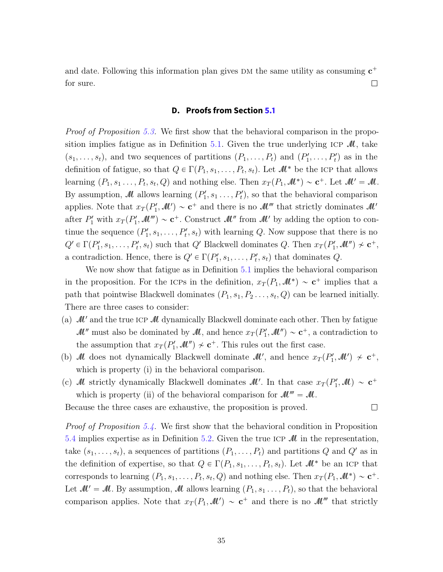and date. Following this information plan gives DM the same utility as consuming  $c^+$ for sure.  $\Box$ 

## **D. Proofs from Section [5.1](#page-17-2)**

<span id="page-34-0"></span>Proof of Proposition [5.3.](#page-19-0) We first show that the behavioral comparison in the propo-sition implies fatigue as in Definition [5.1.](#page-17-1) Given the true underlying ICP  $\mathcal{M}$ , take  $(s_1, \ldots, s_t)$ , and two sequences of partitions  $(P_1, \ldots, P_t)$  and  $(P'_1, \ldots, P'_t)$  as in the definition of fatigue, so that  $Q \in \Gamma(P_1, s_1, \ldots, P_t, s_t)$ . Let  $\mathcal{M}^*$  be the ICP that allows learning  $(P_1, s_1, \ldots, P_t, s_t, Q)$  and nothing else. Then  $x_T(P_1, M^*) \sim \mathbf{c}^+$ . Let  $M' = M$ . By assumption, M allows learning  $(P'_1, s_1, \ldots, P'_t)$ , so that the behavioral comparison applies. Note that  $x_T(P'_1, M') \sim \mathbf{c}^+$  and there is no  $M'''$  that strictly dominates  $M'$ after  $P'_1$  with  $x_T(P'_1, \mathcal{M}''') \sim \mathbf{c}^+$ . Construct  $\mathcal{M}''$  from  $\mathcal{M}'$  by adding the option to continue the sequence  $(P'_1, s_1, \ldots, P'_t, s_t)$  with learning Q. Now suppose that there is no  $Q' \in \Gamma(P'_1, s_1, \ldots, P'_t, s_t)$  such that  $Q'$  Blackwell dominates  $Q$ . Then  $x_T(P'_1, M'') \nsim \mathbf{c}^+,$ a contradiction. Hence, there is  $Q' \in \Gamma(P'_1, s_1, \ldots, P'_t, s_t)$  that dominates  $Q$ .

We now show that fatigue as in Definition [5.1](#page-17-1) implies the behavioral comparison in the proposition. For the ICPs in the definition,  $x_T(P_1, M^*) \sim \mathbf{c}^+$  implies that a path that pointwise Blackwell dominates  $(P_1, s_1, P_2 \ldots, s_t, Q)$  can be learned initially. There are three cases to consider:

- (a)  $\mathcal{M}'$  and the true ICP  $\mathcal M$  dynamically Blackwell dominate each other. Then by fatigue  $\mathcal{M}''$  must also be dominated by  $\mathcal{M}$ , and hence  $x_T(P'_1, \mathcal{M}'') \sim \mathbf{c}^+$ , a contradiction to the assumption that  $x_T(P'_1, M'') \nsim \mathbf{c}^+$ . This rules out the first case.
- (b) M does not dynamically Blackwell dominate  $\mathcal{M}'$ , and hence  $x_T(P'_1, \mathcal{M}') \nsim \mathbf{c}^+$ , which is property (i) in the behavioral comparison.
- (c) M strictly dynamically Blackwell dominates  $\mathcal{M}'$ . In that case  $x_T(P'_1, \mathcal{M}) \sim \mathbf{c}^+$ which is property (ii) of the behavioral comparison for  $\mathcal{M}''' = \mathcal{M}$ .

 $\Box$ 

Because the three cases are exhaustive, the proposition is proved.

Proof of Proposition [5.4.](#page-19-1) We first show that the behavioral condition in Proposition [5.4](#page-19-1) implies expertise as in Definition [5.2.](#page-18-0) Given the true ICP  $\mathcal M$  in the representation, take  $(s_1, \ldots, s_t)$ , a sequences of partitions  $(P_1, \ldots, P_t)$  and partitions Q and Q' as in the definition of expertise, so that  $Q \in \Gamma(P_1, s_1, \ldots, P_t, s_t)$ . Let  $\mathcal{M}^*$  be an ICP that corresponds to learning  $(P_1, s_1, \ldots, P_t, s_t, Q)$  and nothing else. Then  $x_T(P_1, M^*) \sim \mathbf{c}^+$ . Let  $M' = M$ . By assumption, M allows learning  $(P_1, s_1 \ldots, P_t)$ , so that the behavioral comparison applies. Note that  $x_T(P_1, \mathcal{M}') \sim \mathbf{c}^+$  and there is no  $\mathcal{M}'''$  that strictly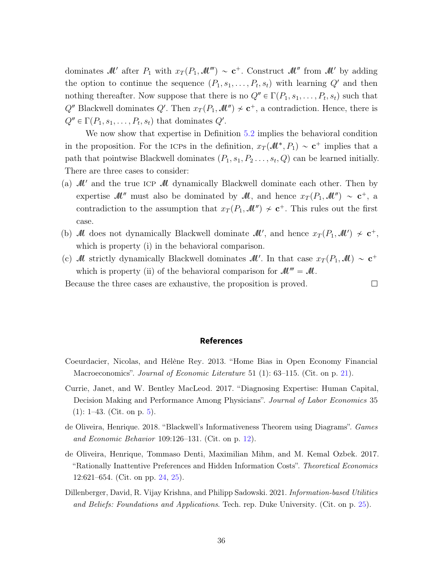dominates M' after  $P_1$  with  $x_T(P_1, \mathcal{M}^{\prime\prime}) \sim \mathbf{c}^+$ . Construct M'' from M' by adding the option to continue the sequence  $(P_1, s_1, \ldots, P_t, s_t)$  with learning  $Q'$  and then nothing thereafter. Now suppose that there is no  $Q'' \in \Gamma(P_1, s_1, \ldots, P_t, s_t)$  such that  $Q''$  Blackwell dominates  $Q'$ . Then  $x_T(P_1, \mathcal{M}'') \nsim \mathbf{c}^+$ , a contradiction. Hence, there is  $Q'' \in \Gamma(P_1, s_1, \ldots, P_t, s_t)$  that dominates  $Q'$ .

We now show that expertise in Definition [5.2](#page-18-0) implies the behavioral condition in the proposition. For the ICPs in the definition,  $x_T(\mathcal{M}^*, P_1) \sim \mathbf{c}^+$  implies that a path that pointwise Blackwell dominates  $(P_1, s_1, P_2 \ldots, s_t, Q)$  can be learned initially. There are three cases to consider:

- (a)  $\mathcal{M}'$  and the true ICP  $\mathcal M$  dynamically Blackwell dominate each other. Then by expertise  $\mathcal{M}$  must also be dominated by  $\mathcal{M}$ , and hence  $x_T(P_1, \mathcal{M}^{\prime\prime}) \sim \mathbf{c}^+$ , a contradiction to the assumption that  $x_T(P_1, \mathcal{M}^{\prime\prime}) \nsim c^+$ . This rules out the first case.
- (b) M does not dynamically Blackwell dominate  $\mathcal{M}'$ , and hence  $x_T(P_1, \mathcal{M}') \nsim \mathbf{c}^+$ , which is property (i) in the behavioral comparison.
- (c) M strictly dynamically Blackwell dominates  $\mathcal{M}'$ . In that case  $x_T(P_1, \mathcal{M}) \sim \mathbf{c}^+$ which is property (ii) of the behavioral comparison for  $\mathcal{M}''' = \mathcal{M}$ .

Because the three cases are exhaustive, the proposition is proved.  $\Box$ 

#### **References**

- <span id="page-35-2"></span>Coeurdacier, Nicolas, and Hélène Rey. 2013. "Home Bias in Open Economy Financial Macroeconomics". Journal of Economic Literature 51 (1): 63–115. (Cit. on p. [21\)](#page-20-3).
- <span id="page-35-0"></span>Currie, Janet, and W. Bentley MacLeod. 2017. "Diagnosing Expertise: Human Capital, Decision Making and Performance Among Physicians". Journal of Labor Economics 35  $(1)$ : 1–43. (Cit. on p. [5\)](#page-4-4).
- <span id="page-35-1"></span>de Oliveira, Henrique. 2018. "Blackwell's Informativeness Theorem using Diagrams". Games and Economic Behavior 109:126–131. (Cit. on p. [12\)](#page-11-3).
- <span id="page-35-3"></span>de Oliveira, Henrique, Tommaso Denti, Maximilian Mihm, and M. Kemal Ozbek. 2017. "Rationally Inattentive Preferences and Hidden Information Costs". Theoretical Economics 12:621–654. (Cit. on pp. [24,](#page-23-1) [25\)](#page-24-0).
- <span id="page-35-4"></span>Dillenberger, David, R. Vijay Krishna, and Philipp Sadowski. 2021. Information-based Utilities and Beliefs: Foundations and Applications. Tech. rep. Duke University. (Cit. on p. [25\)](#page-24-0).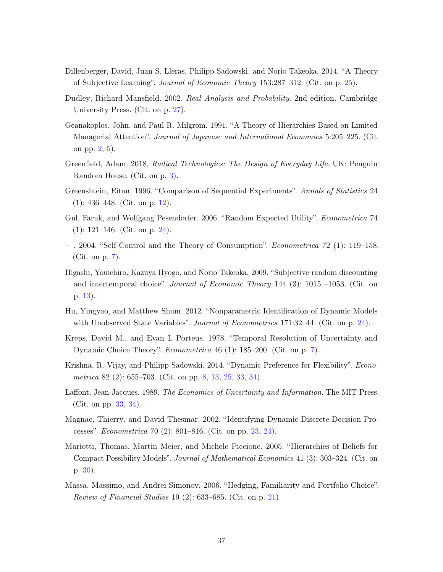- <span id="page-36-11"></span>Dillenberger, David, Juan S. Lleras, Philipp Sadowski, and Norio Takeoka. 2014. "A Theory of Subjective Learning". Journal of Economic Theory 153:287–312. (Cit. on p. [25\)](#page-24-0).
- <span id="page-36-12"></span>Dudley, Richard Mansfield. 2002. Real Analysis and Probability. 2nd edition. Cambridge University Press. (Cit. on p. [27\)](#page-26-2).
- <span id="page-36-0"></span>Geanakoplos, John, and Paul R. Milgrom. 1991. "A Theory of Hierarchies Based on Limited Managerial Attention". Journal of Japanese and International Economies 5:205–225. (Cit. on pp. [2,](#page-1-1) [5\)](#page-4-4).
- <span id="page-36-1"></span>Greenfield, Adam. 2018. Radical Technologies: The Design of Everyday Life. UK: Penguin Random House. (Cit. on p. [3\)](#page-2-1).
- <span id="page-36-5"></span>Greenshtein, Eitan. 1996. "Comparison of Sequential Experiments". Annals of Statistics 24 (1): 436–448. (Cit. on p. [12\)](#page-11-3).
- <span id="page-36-10"></span>Gul, Faruk, and Wolfgang Pesendorfer. 2006. "Random Expected Utility". Econometrica 74 (1): 121–146. (Cit. on p. [24\)](#page-23-1).
- <span id="page-36-3"></span>– . 2004. "Self-Control and the Theory of Consumption". Econometrica 72 (1): 119–158. (Cit. on p. [7\)](#page-6-2).
- <span id="page-36-6"></span>Higashi, Youichiro, Kazuya Hyogo, and Norio Takeoka. 2009. "Subjective random discounting and intertemporal choice". Journal of Economic Theory 144 (3): 1015 –1053. (Cit. on p. [13\)](#page-12-4).
- <span id="page-36-9"></span>Hu, Yingyao, and Matthew Shum. 2012. "Nonparametric Identification of Dynamic Models with Unobserved State Variables". *Journal of Econometrics* 171:32–44. (Cit. on p. [24\)](#page-23-1).
- <span id="page-36-2"></span>Kreps, David M., and Evan L Porteus. 1978. "Temporal Resolution of Uncertainty and Dynamic Choice Theory". Econometrica 46 (1): 185–200. (Cit. on p. [7\)](#page-6-2).
- <span id="page-36-4"></span>Krishna, R. Vijay, and Philipp Sadowski. 2014. "Dynamic Preference for Flexibility". Econometrica 82 (2): 655–703. (Cit. on pp. [8,](#page-7-3) [13,](#page-12-4) [25,](#page-24-0) [33,](#page-32-2) [34\)](#page-33-1).
- <span id="page-36-14"></span>Laffont, Jean-Jacques. 1989. The Economics of Uncertainty and Information. The MIT Press. (Cit. on pp. [33,](#page-32-2) [34\)](#page-33-1).
- <span id="page-36-8"></span>Magnac, Thierry, and David Thesmar. 2002. "Identifying Dynamic Discrete Decision Processes". Econometrica 70 (2): 801–816. (Cit. on pp. [23,](#page-22-3) [24\)](#page-23-1).
- <span id="page-36-13"></span>Mariotti, Thomas, Martin Meier, and Michele Piccione. 2005. "Hierarchies of Beliefs for Compact Possibility Models". Journal of Mathematical Economics 41 (3): 303–324. (Cit. on p. [30\)](#page-29-0).
- <span id="page-36-7"></span>Massa, Massimo, and Andrei Simonov. 2006. "Hedging, Familiarity and Portfolio Choice". Review of Financial Studies 19 (2):  $633-685$ . (Cit. on p. [21\)](#page-20-3).